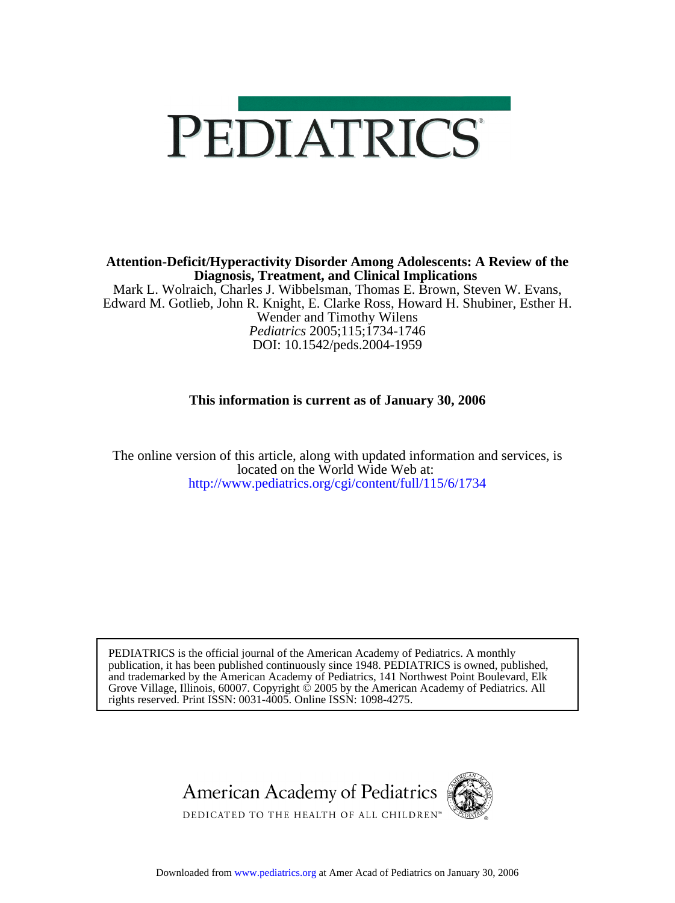

DOI: 10.1542/peds.2004-1959 *Pediatrics* 2005;115;1734-1746 Wender and Timothy Wilens Edward M. Gotlieb, John R. Knight, E. Clarke Ross, Howard H. Shubiner, Esther H. Mark L. Wolraich, Charles J. Wibbelsman, Thomas E. Brown, Steven W. Evans, **Diagnosis, Treatment, and Clinical Implications Attention-Deficit/Hyperactivity Disorder Among Adolescents: A Review of the**

# **This information is current as of January 30, 2006**

<http://www.pediatrics.org/cgi/content/full/115/6/1734> located on the World Wide Web at: The online version of this article, along with updated information and services, is

rights reserved. Print ISSN: 0031-4005. Online ISSN: 1098-4275. Grove Village, Illinois, 60007. Copyright  $\ddot{\odot}$  2005 by the American Academy of Pediatrics. All and trademarked by the American Academy of Pediatrics, 141 Northwest Point Boulevard, Elk publication, it has been published continuously since 1948. PEDIATRICS is owned, published, PEDIATRICS is the official journal of the American Academy of Pediatrics. A monthly

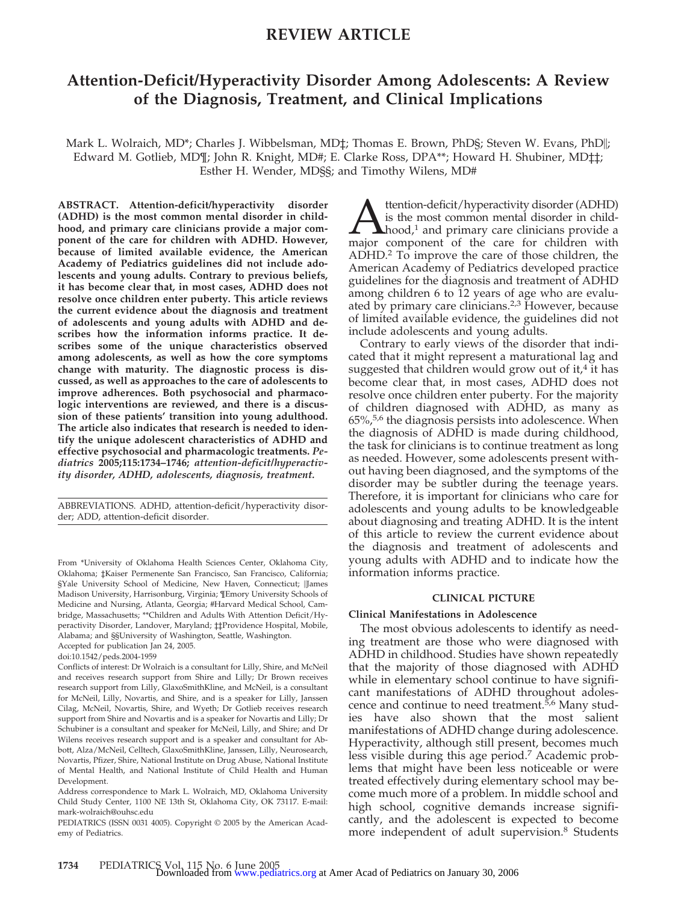# **Attention-Deficit/Hyperactivity Disorder Among Adolescents: A Review of the Diagnosis, Treatment, and Clinical Implications**

Mark L. Wolraich, MD\*; Charles J. Wibbelsman, MD‡; Thomas E. Brown, PhD§; Steven W. Evans, PhD||; Edward M. Gotlieb, MD¶; John R. Knight, MD#; E. Clarke Ross, DPA\*\*; Howard H. Shubiner, MD‡‡; Esther H. Wender, MD§§; and Timothy Wilens, MD#

**ABSTRACT. Attention-deficit/hyperactivity disorder (ADHD) is the most common mental disorder in childhood, and primary care clinicians provide a major component of the care for children with ADHD. However, because of limited available evidence, the American Academy of Pediatrics guidelines did not include adolescents and young adults. Contrary to previous beliefs, it has become clear that, in most cases, ADHD does not resolve once children enter puberty. This article reviews the current evidence about the diagnosis and treatment of adolescents and young adults with ADHD and describes how the information informs practice. It describes some of the unique characteristics observed among adolescents, as well as how the core symptoms change with maturity. The diagnostic process is discussed, as well as approaches to the care of adolescents to improve adherences. Both psychosocial and pharmacologic interventions are reviewed, and there is a discussion of these patients' transition into young adulthood. The article also indicates that research is needed to identify the unique adolescent characteristics of ADHD and effective psychosocial and pharmacologic treatments.** *Pediatrics* **2005;115:1734–1746;** *attention-deficit/hyperactivity disorder, ADHD, adolescents, diagnosis, treatment.*

ABBREVIATIONS. ADHD, attention-deficit/hyperactivity disorder; ADD, attention-deficit disorder.

From \*University of Oklahoma Health Sciences Center, Oklahoma City, Oklahoma; ‡Kaiser Permenente San Francisco, San Francisco, California; §Yale University School of Medicine, New Haven, Connecticut; |James Madison University, Harrisonburg, Virginia; ¶Emory University Schools of Medicine and Nursing, Atlanta, Georgia; #Harvard Medical School, Cambridge, Massachusetts; \*\*Children and Adults With Attention Deficit/Hyperactivity Disorder, Landover, Maryland; ‡‡Providence Hospital, Mobile, Alabama; and §§University of Washington, Seattle, Washington.

Accepted for publication Jan 24, 2005. doi:10.1542/peds.2004-1959

Conflicts of interest: Dr Wolraich is a consultant for Lilly, Shire, and McNeil and receives research support from Shire and Lilly; Dr Brown receives

research support from Lilly, GlaxoSmithKline, and McNeil, is a consultant for McNeil, Lilly, Novartis, and Shire, and is a speaker for Lilly, Janssen Cilag, McNeil, Novartis, Shire, and Wyeth; Dr Gotlieb receives research support from Shire and Novartis and is a speaker for Novartis and Lilly; Dr Schubiner is a consultant and speaker for McNeil, Lilly, and Shire; and Dr Wilens receives research support and is a speaker and consultant for Abbott, Alza/McNeil, Celltech, GlaxoSmithKline, Janssen, Lilly, Neurosearch, Novartis, Pfizer, Shire, National Institute on Drug Abuse, National Institute of Mental Health, and National Institute of Child Health and Human Development.

Address correspondence to Mark L. Wolraich, MD, Oklahoma University Child Study Center, 1100 NE 13th St, Oklahoma City, OK 73117. E-mail: mark-wolraich@ouhsc.edu

PEDIATRICS (ISSN 0031 4005). Copyright © 2005 by the American Academy of Pediatrics.

**A** the most common mental disorder (ADHD) is the most common mental disorder in child-hood,<sup>1</sup> and primary care clinicians provide a major component of the care for children with is the most common mental disorder in child- $\text{Mod}_t$ <sup>1</sup> and primary care clinicians provide a ADHD.2 To improve the care of those children, the American Academy of Pediatrics developed practice guidelines for the diagnosis and treatment of ADHD among children 6 to 12 years of age who are evaluated by primary care clinicians.<sup>2,3</sup> However, because of limited available evidence, the guidelines did not include adolescents and young adults.

Contrary to early views of the disorder that indicated that it might represent a maturational lag and suggested that children would grow out of it, $4$  it has become clear that, in most cases, ADHD does not resolve once children enter puberty. For the majority of children diagnosed with ADHD, as many as  $65\%$ ,<sup>5,6</sup> the diagnosis persists into adolescence. When the diagnosis of ADHD is made during childhood, the task for clinicians is to continue treatment as long as needed. However, some adolescents present without having been diagnosed, and the symptoms of the disorder may be subtler during the teenage years. Therefore, it is important for clinicians who care for adolescents and young adults to be knowledgeable about diagnosing and treating ADHD. It is the intent of this article to review the current evidence about the diagnosis and treatment of adolescents and young adults with ADHD and to indicate how the information informs practice.

### **CLINICAL PICTURE**

#### **Clinical Manifestations in Adolescence**

The most obvious adolescents to identify as needing treatment are those who were diagnosed with ADHD in childhood. Studies have shown repeatedly that the majority of those diagnosed with ADHD while in elementary school continue to have significant manifestations of ADHD throughout adolescence and continue to need treatment. $\frac{5}{6}$  Many studies have also shown that the most salient manifestations of ADHD change during adolescence. Hyperactivity, although still present, becomes much less visible during this age period.7 Academic problems that might have been less noticeable or were treated effectively during elementary school may become much more of a problem. In middle school and high school, cognitive demands increase significantly, and the adolescent is expected to become more independent of adult supervision.<sup>8</sup> Students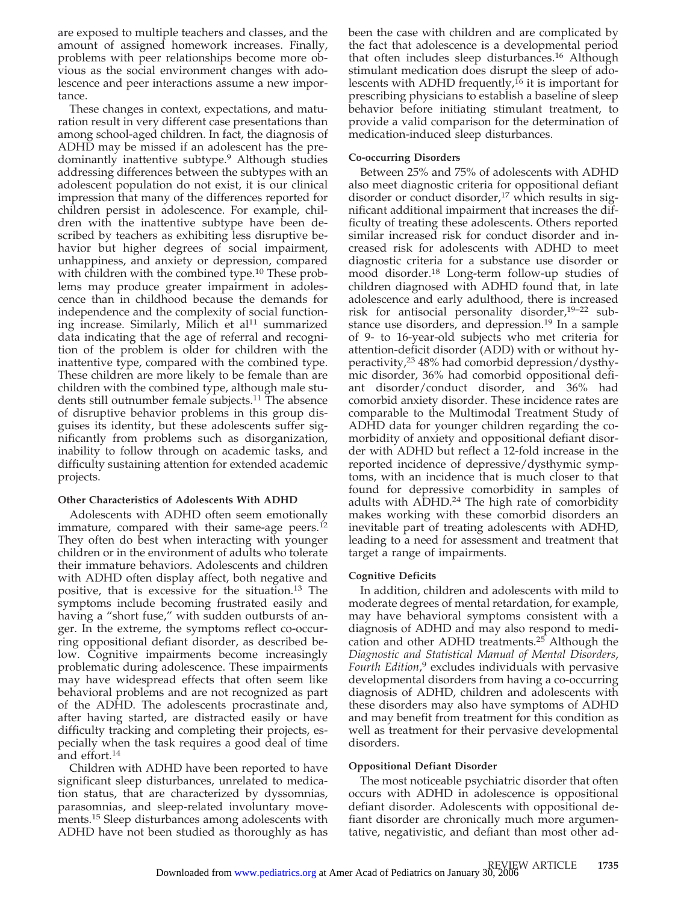are exposed to multiple teachers and classes, and the amount of assigned homework increases. Finally, problems with peer relationships become more obvious as the social environment changes with adolescence and peer interactions assume a new importance.

These changes in context, expectations, and maturation result in very different case presentations than among school-aged children. In fact, the diagnosis of ADHD may be missed if an adolescent has the predominantly inattentive subtype.<sup>9</sup> Although studies addressing differences between the subtypes with an adolescent population do not exist, it is our clinical impression that many of the differences reported for children persist in adolescence. For example, children with the inattentive subtype have been described by teachers as exhibiting less disruptive behavior but higher degrees of social impairment, unhappiness, and anxiety or depression, compared with children with the combined type.<sup>10</sup> These problems may produce greater impairment in adolescence than in childhood because the demands for independence and the complexity of social functioning increase. Similarly, Milich et al<sup>11</sup> summarized data indicating that the age of referral and recognition of the problem is older for children with the inattentive type, compared with the combined type. These children are more likely to be female than are children with the combined type, although male students still outnumber female subjects.<sup>11</sup> The absence of disruptive behavior problems in this group disguises its identity, but these adolescents suffer significantly from problems such as disorganization, inability to follow through on academic tasks, and difficulty sustaining attention for extended academic projects.

### **Other Characteristics of Adolescents With ADHD**

Adolescents with ADHD often seem emotionally immature, compared with their same-age peers.<sup>12</sup> They often do best when interacting with younger children or in the environment of adults who tolerate their immature behaviors. Adolescents and children with ADHD often display affect, both negative and positive, that is excessive for the situation.13 The symptoms include becoming frustrated easily and having a "short fuse," with sudden outbursts of anger. In the extreme, the symptoms reflect co-occurring oppositional defiant disorder, as described below. Cognitive impairments become increasingly problematic during adolescence. These impairments may have widespread effects that often seem like behavioral problems and are not recognized as part of the ADHD. The adolescents procrastinate and, after having started, are distracted easily or have difficulty tracking and completing their projects, especially when the task requires a good deal of time and effort.14

Children with ADHD have been reported to have significant sleep disturbances, unrelated to medication status, that are characterized by dyssomnias, parasomnias, and sleep-related involuntary movements.15 Sleep disturbances among adolescents with ADHD have not been studied as thoroughly as has been the case with children and are complicated by the fact that adolescence is a developmental period that often includes sleep disturbances.16 Although stimulant medication does disrupt the sleep of adolescents with ADHD frequently,<sup>16</sup> it is important for prescribing physicians to establish a baseline of sleep behavior before initiating stimulant treatment, to provide a valid comparison for the determination of medication-induced sleep disturbances.

### **Co-occurring Disorders**

Between 25% and 75% of adolescents with ADHD also meet diagnostic criteria for oppositional defiant disorder or conduct disorder,<sup>17</sup> which results in significant additional impairment that increases the difficulty of treating these adolescents. Others reported similar increased risk for conduct disorder and increased risk for adolescents with ADHD to meet diagnostic criteria for a substance use disorder or mood disorder.<sup>18</sup> Long-term follow-up studies of children diagnosed with ADHD found that, in late adolescence and early adulthood, there is increased risk for antisocial personality disorder,19–22 substance use disorders, and depression.<sup>19</sup> In a sample of 9- to 16-year-old subjects who met criteria for attention-deficit disorder (ADD) with or without hyperactivity,23 48% had comorbid depression/dysthymic disorder, 36% had comorbid oppositional defiant disorder/conduct disorder, and 36% had comorbid anxiety disorder. These incidence rates are comparable to the Multimodal Treatment Study of ADHD data for younger children regarding the comorbidity of anxiety and oppositional defiant disorder with ADHD but reflect a 12-fold increase in the reported incidence of depressive/dysthymic symptoms, with an incidence that is much closer to that found for depressive comorbidity in samples of adults with ADHD.<sup>24</sup> The high rate of comorbidity makes working with these comorbid disorders an inevitable part of treating adolescents with ADHD, leading to a need for assessment and treatment that target a range of impairments.

### **Cognitive Deficits**

In addition, children and adolescents with mild to moderate degrees of mental retardation, for example, may have behavioral symptoms consistent with a diagnosis of ADHD and may also respond to medication and other ADHD treatments.<sup>25</sup> Although the *Diagnostic and Statistical Manual of Mental Disorders*, *Fourth Edition*, <sup>9</sup> excludes individuals with pervasive developmental disorders from having a co-occurring diagnosis of ADHD, children and adolescents with these disorders may also have symptoms of ADHD and may benefit from treatment for this condition as well as treatment for their pervasive developmental disorders.

### **Oppositional Defiant Disorder**

The most noticeable psychiatric disorder that often occurs with ADHD in adolescence is oppositional defiant disorder. Adolescents with oppositional defiant disorder are chronically much more argumentative, negativistic, and defiant than most other ad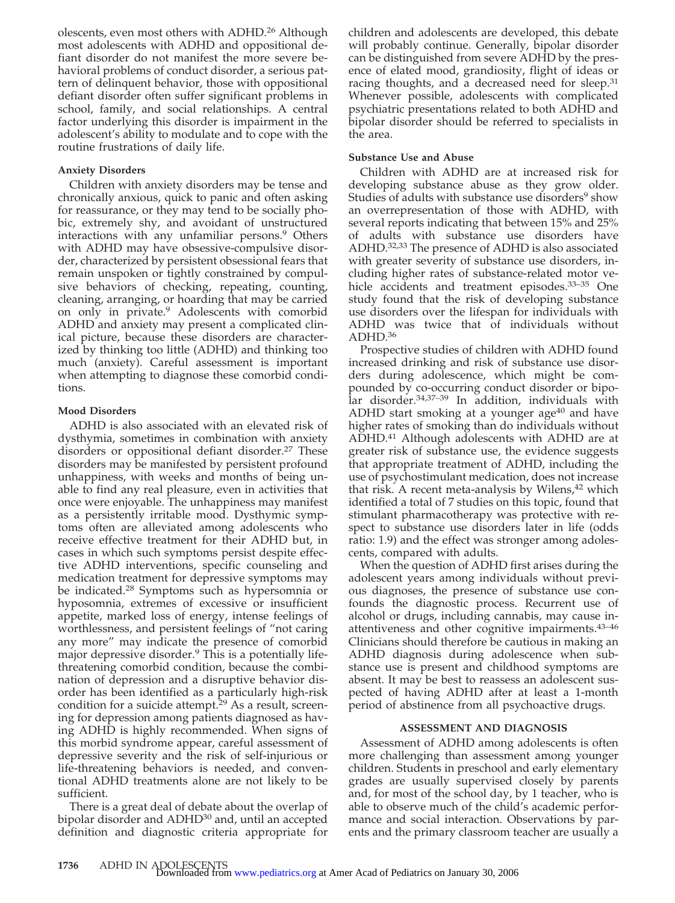olescents, even most others with ADHD.26 Although most adolescents with ADHD and oppositional defiant disorder do not manifest the more severe behavioral problems of conduct disorder, a serious pattern of delinquent behavior, those with oppositional defiant disorder often suffer significant problems in school, family, and social relationships. A central factor underlying this disorder is impairment in the adolescent's ability to modulate and to cope with the routine frustrations of daily life.

### **Anxiety Disorders**

Children with anxiety disorders may be tense and chronically anxious, quick to panic and often asking for reassurance, or they may tend to be socially phobic, extremely shy, and avoidant of unstructured interactions with any unfamiliar persons.<sup>9</sup> Others with ADHD may have obsessive-compulsive disorder, characterized by persistent obsessional fears that remain unspoken or tightly constrained by compulsive behaviors of checking, repeating, counting, cleaning, arranging, or hoarding that may be carried on only in private.9 Adolescents with comorbid ADHD and anxiety may present a complicated clinical picture, because these disorders are characterized by thinking too little (ADHD) and thinking too much (anxiety). Careful assessment is important when attempting to diagnose these comorbid conditions.

### **Mood Disorders**

ADHD is also associated with an elevated risk of dysthymia, sometimes in combination with anxiety disorders or oppositional defiant disorder.<sup>27</sup> These disorders may be manifested by persistent profound unhappiness, with weeks and months of being unable to find any real pleasure, even in activities that once were enjoyable. The unhappiness may manifest as a persistently irritable mood. Dysthymic symptoms often are alleviated among adolescents who receive effective treatment for their ADHD but, in cases in which such symptoms persist despite effective ADHD interventions, specific counseling and medication treatment for depressive symptoms may be indicated.28 Symptoms such as hypersomnia or hyposomnia, extremes of excessive or insufficient appetite, marked loss of energy, intense feelings of worthlessness, and persistent feelings of "not caring any more" may indicate the presence of comorbid major depressive disorder.<sup>9</sup> This is a potentially lifethreatening comorbid condition, because the combination of depression and a disruptive behavior disorder has been identified as a particularly high-risk condition for a suicide attempt.<sup>29</sup> As a result, screening for depression among patients diagnosed as having ADHD is highly recommended. When signs of this morbid syndrome appear, careful assessment of depressive severity and the risk of self-injurious or life-threatening behaviors is needed, and conventional ADHD treatments alone are not likely to be sufficient.

There is a great deal of debate about the overlap of bipolar disorder and ADHD<sup>30</sup> and, until an accepted definition and diagnostic criteria appropriate for

children and adolescents are developed, this debate will probably continue. Generally, bipolar disorder can be distinguished from severe ADHD by the presence of elated mood, grandiosity, flight of ideas or racing thoughts, and a decreased need for sleep.<sup>31</sup> Whenever possible, adolescents with complicated psychiatric presentations related to both ADHD and bipolar disorder should be referred to specialists in the area.

### **Substance Use and Abuse**

Children with ADHD are at increased risk for developing substance abuse as they grow older. Studies of adults with substance use disorders<sup>9</sup> show an overrepresentation of those with ADHD, with several reports indicating that between 15% and 25% of adults with substance use disorders have ADHD.<sup>32,33</sup> The presence of ADHD is also associated with greater severity of substance use disorders, including higher rates of substance-related motor vehicle accidents and treatment episodes.<sup>33-35</sup> One study found that the risk of developing substance use disorders over the lifespan for individuals with ADHD was twice that of individuals without ADHD.<sup>36</sup>

Prospective studies of children with ADHD found increased drinking and risk of substance use disorders during adolescence, which might be compounded by co-occurring conduct disorder or bipolar disorder.<sup>34,37-39</sup> In addition, individuals with ADHD start smoking at a younger age $40$  and have higher rates of smoking than do individuals without ADHD.<sup>41</sup> Although adolescents with ADHD are at greater risk of substance use, the evidence suggests that appropriate treatment of ADHD, including the use of psychostimulant medication, does not increase that risk. A recent meta-analysis by Wilens,<sup>42</sup> which identified a total of 7 studies on this topic, found that stimulant pharmacotherapy was protective with respect to substance use disorders later in life (odds ratio: 1.9) and the effect was stronger among adolescents, compared with adults.

When the question of ADHD first arises during the adolescent years among individuals without previous diagnoses, the presence of substance use confounds the diagnostic process. Recurrent use of alcohol or drugs, including cannabis, may cause inattentiveness and other cognitive impairments.<sup>43-46</sup> Clinicians should therefore be cautious in making an ADHD diagnosis during adolescence when substance use is present and childhood symptoms are absent. It may be best to reassess an adolescent suspected of having ADHD after at least a 1-month period of abstinence from all psychoactive drugs.

### **ASSESSMENT AND DIAGNOSIS**

Assessment of ADHD among adolescents is often more challenging than assessment among younger children. Students in preschool and early elementary grades are usually supervised closely by parents and, for most of the school day, by 1 teacher, who is able to observe much of the child's academic performance and social interaction. Observations by parents and the primary classroom teacher are usually a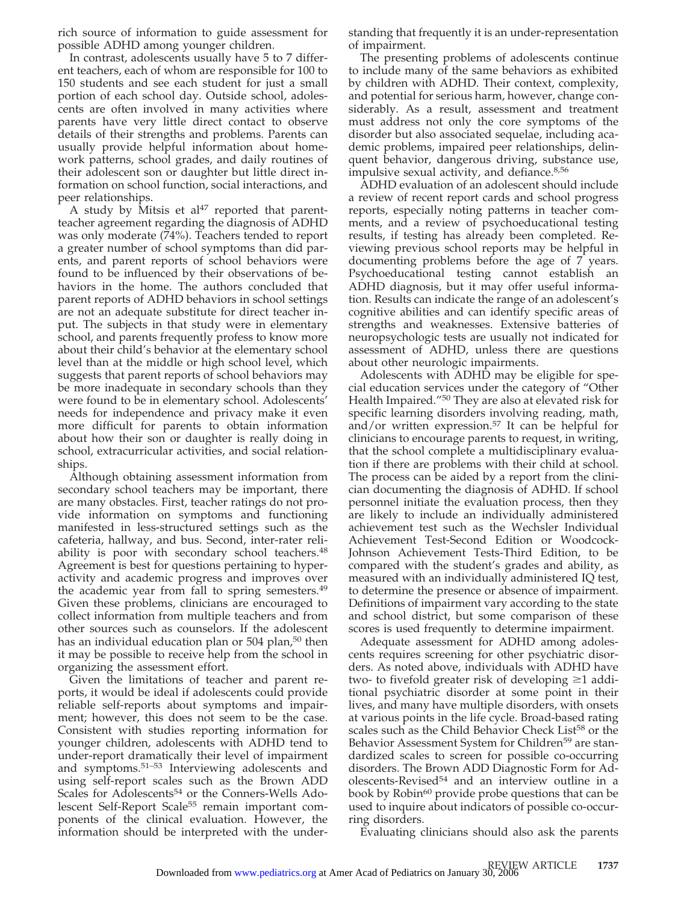rich source of information to guide assessment for possible ADHD among younger children.

In contrast, adolescents usually have 5 to 7 different teachers, each of whom are responsible for 100 to 150 students and see each student for just a small portion of each school day. Outside school, adolescents are often involved in many activities where parents have very little direct contact to observe details of their strengths and problems. Parents can usually provide helpful information about homework patterns, school grades, and daily routines of their adolescent son or daughter but little direct information on school function, social interactions, and peer relationships.

A study by Mitsis et al<sup>47</sup> reported that parentteacher agreement regarding the diagnosis of ADHD was only moderate (74%). Teachers tended to report a greater number of school symptoms than did parents, and parent reports of school behaviors were found to be influenced by their observations of behaviors in the home. The authors concluded that parent reports of ADHD behaviors in school settings are not an adequate substitute for direct teacher input. The subjects in that study were in elementary school, and parents frequently profess to know more about their child's behavior at the elementary school level than at the middle or high school level, which suggests that parent reports of school behaviors may be more inadequate in secondary schools than they were found to be in elementary school. Adolescents' needs for independence and privacy make it even more difficult for parents to obtain information about how their son or daughter is really doing in school, extracurricular activities, and social relationships.

Although obtaining assessment information from secondary school teachers may be important, there are many obstacles. First, teacher ratings do not provide information on symptoms and functioning manifested in less-structured settings such as the cafeteria, hallway, and bus. Second, inter-rater reliability is poor with secondary school teachers.<sup>48</sup> Agreement is best for questions pertaining to hyperactivity and academic progress and improves over the academic year from fall to spring semesters.<sup>49</sup> Given these problems, clinicians are encouraged to collect information from multiple teachers and from other sources such as counselors. If the adolescent has an individual education plan or 504 plan,<sup>50</sup> then it may be possible to receive help from the school in organizing the assessment effort.

Given the limitations of teacher and parent reports, it would be ideal if adolescents could provide reliable self-reports about symptoms and impairment; however, this does not seem to be the case. Consistent with studies reporting information for younger children, adolescents with ADHD tend to under-report dramatically their level of impairment and symptoms.51–53 Interviewing adolescents and using self-report scales such as the Brown ADD Scales for Adolescents<sup>54</sup> or the Conners-Wells Adolescent Self-Report Scale<sup>55</sup> remain important components of the clinical evaluation. However, the information should be interpreted with the understanding that frequently it is an under-representation of impairment.

The presenting problems of adolescents continue to include many of the same behaviors as exhibited by children with ADHD. Their context, complexity, and potential for serious harm, however, change considerably. As a result, assessment and treatment must address not only the core symptoms of the disorder but also associated sequelae, including academic problems, impaired peer relationships, delinquent behavior, dangerous driving, substance use, impulsive sexual activity, and defiance.<sup>8,56</sup>

ADHD evaluation of an adolescent should include a review of recent report cards and school progress reports, especially noting patterns in teacher comments, and a review of psychoeducational testing results, if testing has already been completed. Reviewing previous school reports may be helpful in documenting problems before the age of 7 years. Psychoeducational testing cannot establish an ADHD diagnosis, but it may offer useful information. Results can indicate the range of an adolescent's cognitive abilities and can identify specific areas of strengths and weaknesses. Extensive batteries of neuropsychologic tests are usually not indicated for assessment of ADHD, unless there are questions about other neurologic impairments.

Adolescents with ADHD may be eligible for special education services under the category of "Other Health Impaired."50 They are also at elevated risk for specific learning disorders involving reading, math, and/or written expression.57 It can be helpful for clinicians to encourage parents to request, in writing, that the school complete a multidisciplinary evaluation if there are problems with their child at school. The process can be aided by a report from the clinician documenting the diagnosis of ADHD. If school personnel initiate the evaluation process, then they are likely to include an individually administered achievement test such as the Wechsler Individual Achievement Test-Second Edition or Woodcock-Johnson Achievement Tests-Third Edition, to be compared with the student's grades and ability, as measured with an individually administered IQ test, to determine the presence or absence of impairment. Definitions of impairment vary according to the state and school district, but some comparison of these scores is used frequently to determine impairment.

Adequate assessment for ADHD among adolescents requires screening for other psychiatric disorders. As noted above, individuals with ADHD have two- to fivefold greater risk of developing  $\geq 1$  additional psychiatric disorder at some point in their lives, and many have multiple disorders, with onsets at various points in the life cycle. Broad-based rating scales such as the Child Behavior Check List<sup>58</sup> or the Behavior Assessment System for Children<sup>59</sup> are standardized scales to screen for possible co-occurring disorders. The Brown ADD Diagnostic Form for Adolescents-Revised<sup>54</sup> and an interview outline in a book by Robin<sup>60</sup> provide probe questions that can be used to inquire about indicators of possible co-occurring disorders.

Evaluating clinicians should also ask the parents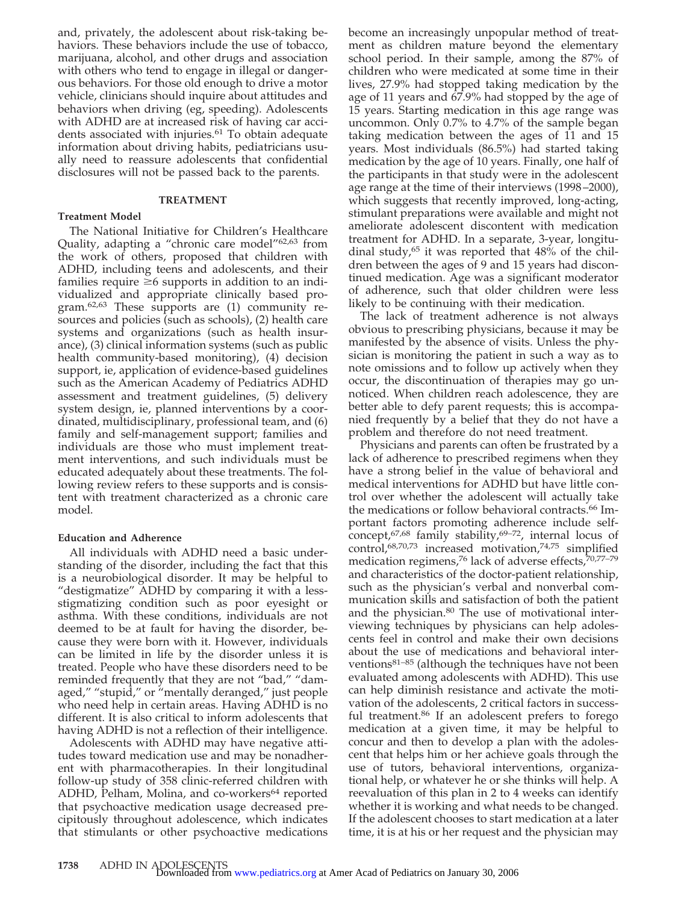and, privately, the adolescent about risk-taking behaviors. These behaviors include the use of tobacco, marijuana, alcohol, and other drugs and association with others who tend to engage in illegal or dangerous behaviors. For those old enough to drive a motor vehicle, clinicians should inquire about attitudes and behaviors when driving (eg, speeding). Adolescents with ADHD are at increased risk of having car accidents associated with injuries.<sup>61</sup> To obtain adequate information about driving habits, pediatricians usually need to reassure adolescents that confidential disclosures will not be passed back to the parents.

#### **TREATMENT**

#### **Treatment Model**

The National Initiative for Children's Healthcare Quality, adapting a "chronic care model"62,63 from the work of others, proposed that children with ADHD, including teens and adolescents, and their families require  $\geq 6$  supports in addition to an individualized and appropriate clinically based program.62,63 These supports are (1) community resources and policies (such as schools), (2) health care systems and organizations (such as health insurance), (3) clinical information systems (such as public health community-based monitoring), (4) decision support, ie, application of evidence-based guidelines such as the American Academy of Pediatrics ADHD assessment and treatment guidelines, (5) delivery system design, ie, planned interventions by a coordinated, multidisciplinary, professional team, and (6) family and self-management support; families and individuals are those who must implement treatment interventions, and such individuals must be educated adequately about these treatments. The following review refers to these supports and is consistent with treatment characterized as a chronic care model.

### **Education and Adherence**

All individuals with ADHD need a basic understanding of the disorder, including the fact that this is a neurobiological disorder. It may be helpful to "destigmatize" ADHD by comparing it with a lessstigmatizing condition such as poor eyesight or asthma. With these conditions, individuals are not deemed to be at fault for having the disorder, because they were born with it. However, individuals can be limited in life by the disorder unless it is treated. People who have these disorders need to be reminded frequently that they are not "bad," "damaged," "stupid," or "mentally deranged," just people who need help in certain areas. Having ADHD is no different. It is also critical to inform adolescents that having ADHD is not a reflection of their intelligence.

Adolescents with ADHD may have negative attitudes toward medication use and may be nonadherent with pharmacotherapies. In their longitudinal follow-up study of 358 clinic-referred children with ADHD, Pelham, Molina, and co-workers<sup>64</sup> reported that psychoactive medication usage decreased precipitously throughout adolescence, which indicates that stimulants or other psychoactive medications become an increasingly unpopular method of treatment as children mature beyond the elementary school period. In their sample, among the 87% of children who were medicated at some time in their lives, 27.9% had stopped taking medication by the age of 11 years and 67.9% had stopped by the age of 15 years. Starting medication in this age range was uncommon. Only 0.7% to 4.7% of the sample began taking medication between the ages of 11 and 15 years. Most individuals (86.5%) had started taking medication by the age of 10 years. Finally, one half of the participants in that study were in the adolescent age range at the time of their interviews (1998 –2000), which suggests that recently improved, long-acting, stimulant preparations were available and might not ameliorate adolescent discontent with medication treatment for ADHD. In a separate, 3-year, longitudinal study, $65$  it was reported that 48% of the children between the ages of 9 and 15 years had discontinued medication. Age was a significant moderator of adherence, such that older children were less likely to be continuing with their medication.

The lack of treatment adherence is not always obvious to prescribing physicians, because it may be manifested by the absence of visits. Unless the physician is monitoring the patient in such a way as to note omissions and to follow up actively when they occur, the discontinuation of therapies may go unnoticed. When children reach adolescence, they are better able to defy parent requests; this is accompanied frequently by a belief that they do not have a problem and therefore do not need treatment.

Physicians and parents can often be frustrated by a lack of adherence to prescribed regimens when they have a strong belief in the value of behavioral and medical interventions for ADHD but have little control over whether the adolescent will actually take the medications or follow behavioral contracts.<sup>66</sup> Important factors promoting adherence include selfconcept, $67,68$  family stability, $69-72$ , internal locus of control,68,70,73 increased motivation,74,75 simplified medication regimens,<sup>76</sup> lack of adverse effects,<sup>70,77-79</sup> and characteristics of the doctor-patient relationship, such as the physician's verbal and nonverbal communication skills and satisfaction of both the patient and the physician.<sup>80</sup> The use of motivational interviewing techniques by physicians can help adolescents feel in control and make their own decisions about the use of medications and behavioral interventions<sup>81-85</sup> (although the techniques have not been evaluated among adolescents with ADHD). This use can help diminish resistance and activate the motivation of the adolescents, 2 critical factors in successful treatment.<sup>86</sup> If an adolescent prefers to forego medication at a given time, it may be helpful to concur and then to develop a plan with the adolescent that helps him or her achieve goals through the use of tutors, behavioral interventions, organizational help, or whatever he or she thinks will help. A reevaluation of this plan in 2 to 4 weeks can identify whether it is working and what needs to be changed. If the adolescent chooses to start medication at a later time, it is at his or her request and the physician may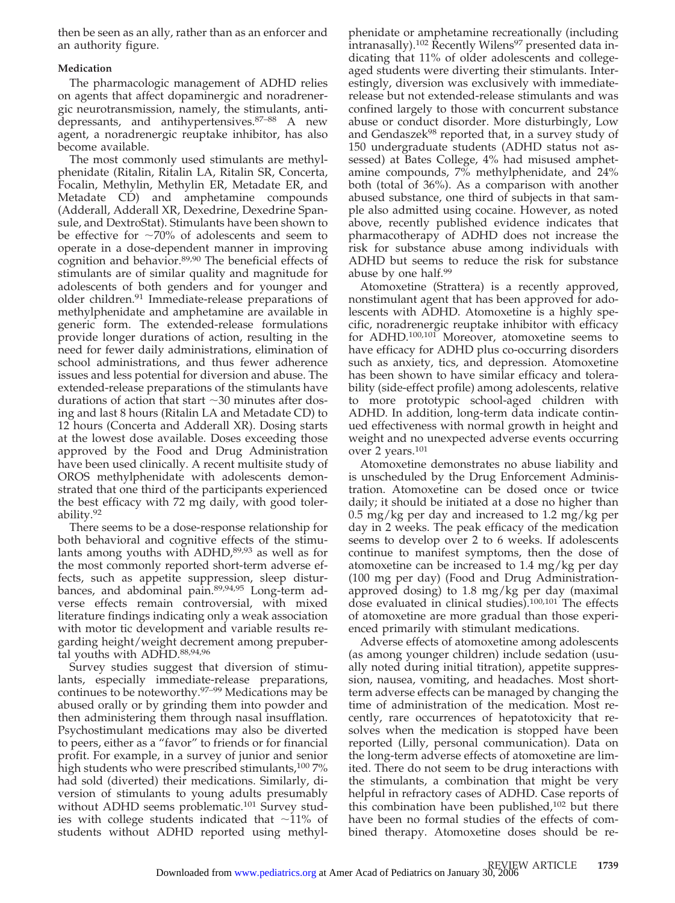then be seen as an ally, rather than as an enforcer and an authority figure.

### **Medication**

The pharmacologic management of ADHD relies on agents that affect dopaminergic and noradrenergic neurotransmission, namely, the stimulants, antidepressants, and antihypertensives.87–88 A new agent, a noradrenergic reuptake inhibitor, has also become available.

The most commonly used stimulants are methylphenidate (Ritalin, Ritalin LA, Ritalin SR, Concerta, Focalin, Methylin, Methylin ER, Metadate ER, and Metadate CD) and amphetamine compounds (Adderall, Adderall XR, Dexedrine, Dexedrine Spansule, and DextroStat). Stimulants have been shown to be effective for  $\sim$ 70% of adolescents and seem to operate in a dose-dependent manner in improving cognition and behavior.89,90 The beneficial effects of stimulants are of similar quality and magnitude for adolescents of both genders and for younger and older children.91 Immediate-release preparations of methylphenidate and amphetamine are available in generic form. The extended-release formulations provide longer durations of action, resulting in the need for fewer daily administrations, elimination of school administrations, and thus fewer adherence issues and less potential for diversion and abuse. The extended-release preparations of the stimulants have durations of action that start  $\sim$ 30 minutes after dosing and last 8 hours (Ritalin LA and Metadate CD) to 12 hours (Concerta and Adderall XR). Dosing starts at the lowest dose available. Doses exceeding those approved by the Food and Drug Administration have been used clinically. A recent multisite study of OROS methylphenidate with adolescents demonstrated that one third of the participants experienced the best efficacy with 72 mg daily, with good tolerability.<sup>92</sup>

There seems to be a dose-response relationship for both behavioral and cognitive effects of the stimulants among youths with ADHD,<sup>89,93</sup> as well as for the most commonly reported short-term adverse effects, such as appetite suppression, sleep disturbances, and abdominal pain.89,94,95 Long-term adverse effects remain controversial, with mixed literature findings indicating only a weak association with motor tic development and variable results regarding height/weight decrement among prepubertal youths with ADHD.88,94,96

Survey studies suggest that diversion of stimulants, especially immediate-release preparations, continues to be noteworthy.97–99 Medications may be abused orally or by grinding them into powder and then administering them through nasal insufflation. Psychostimulant medications may also be diverted to peers, either as a "favor" to friends or for financial profit. For example, in a survey of junior and senior high students who were prescribed stimulants,<sup>100</sup> 7% had sold (diverted) their medications. Similarly, diversion of stimulants to young adults presumably without ADHD seems problematic.<sup>101</sup> Survey studies with college students indicated that  $\sim$ 11% of students without ADHD reported using methyl-

phenidate or amphetamine recreationally (including intranasally).<sup>102</sup> Recently Wilens<sup>97</sup> presented data indicating that 11% of older adolescents and collegeaged students were diverting their stimulants. Interestingly, diversion was exclusively with immediaterelease but not extended-release stimulants and was confined largely to those with concurrent substance abuse or conduct disorder. More disturbingly, Low and Gendaszek<sup>98</sup> reported that, in a survey study of 150 undergraduate students (ADHD status not assessed) at Bates College, 4% had misused amphetamine compounds, 7% methylphenidate, and 24% both (total of 36%). As a comparison with another abused substance, one third of subjects in that sample also admitted using cocaine. However, as noted above, recently published evidence indicates that pharmacotherapy of ADHD does not increase the risk for substance abuse among individuals with ADHD but seems to reduce the risk for substance abuse by one half.99

Atomoxetine (Strattera) is a recently approved, nonstimulant agent that has been approved for adolescents with ADHD. Atomoxetine is a highly specific, noradrenergic reuptake inhibitor with efficacy for ADHD.<sup>100,101</sup> Moreover, atomoxetine seems to have efficacy for ADHD plus co-occurring disorders such as anxiety, tics, and depression. Atomoxetine has been shown to have similar efficacy and tolerability (side-effect profile) among adolescents, relative to more prototypic school-aged children with ADHD. In addition, long-term data indicate continued effectiveness with normal growth in height and weight and no unexpected adverse events occurring over 2 years.101

Atomoxetine demonstrates no abuse liability and is unscheduled by the Drug Enforcement Administration. Atomoxetine can be dosed once or twice daily; it should be initiated at a dose no higher than 0.5 mg/kg per day and increased to 1.2 mg/kg per day in 2 weeks. The peak efficacy of the medication seems to develop over 2 to 6 weeks. If adolescents continue to manifest symptoms, then the dose of atomoxetine can be increased to 1.4 mg/kg per day (100 mg per day) (Food and Drug Administrationapproved dosing) to 1.8 mg/kg per day (maximal dose evaluated in clinical studies).100,101 The effects of atomoxetine are more gradual than those experienced primarily with stimulant medications.

Adverse effects of atomoxetine among adolescents (as among younger children) include sedation (usually noted during initial titration), appetite suppression, nausea, vomiting, and headaches. Most shortterm adverse effects can be managed by changing the time of administration of the medication. Most recently, rare occurrences of hepatotoxicity that resolves when the medication is stopped have been reported (Lilly, personal communication). Data on the long-term adverse effects of atomoxetine are limited. There do not seem to be drug interactions with the stimulants, a combination that might be very helpful in refractory cases of ADHD. Case reports of this combination have been published,<sup>102</sup> but there have been no formal studies of the effects of combined therapy. Atomoxetine doses should be re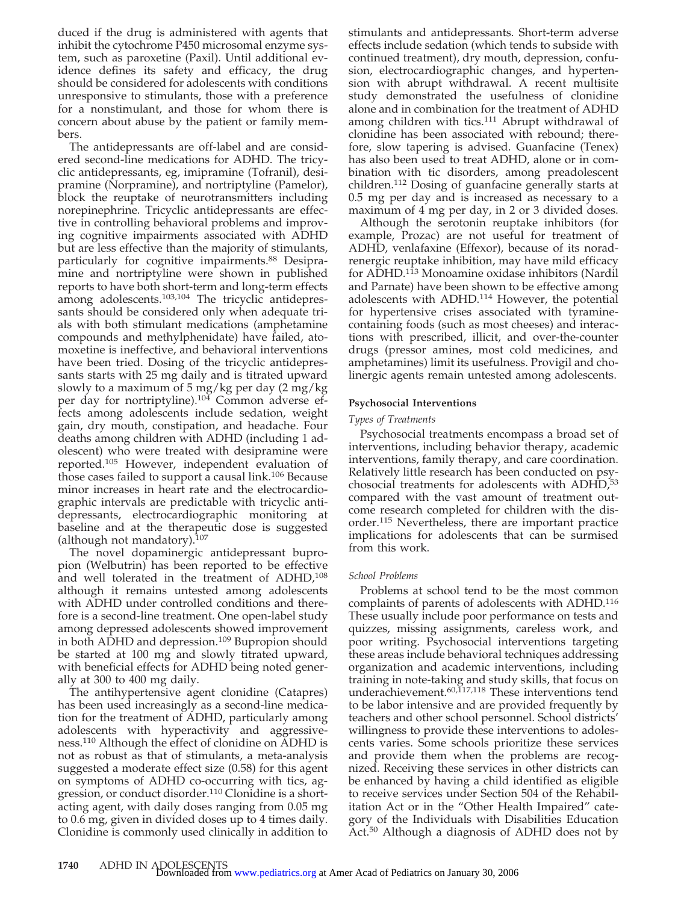duced if the drug is administered with agents that inhibit the cytochrome P450 microsomal enzyme system, such as paroxetine (Paxil). Until additional evidence defines its safety and efficacy, the drug should be considered for adolescents with conditions unresponsive to stimulants, those with a preference for a nonstimulant, and those for whom there is concern about abuse by the patient or family members.

The antidepressants are off-label and are considered second-line medications for ADHD. The tricyclic antidepressants, eg, imipramine (Tofranil), desipramine (Norpramine), and nortriptyline (Pamelor), block the reuptake of neurotransmitters including norepinephrine. Tricyclic antidepressants are effective in controlling behavioral problems and improving cognitive impairments associated with ADHD but are less effective than the majority of stimulants, particularly for cognitive impairments.<sup>88</sup> Desipramine and nortriptyline were shown in published reports to have both short-term and long-term effects among adolescents.<sup>103,104</sup> The tricyclic antidepressants should be considered only when adequate trials with both stimulant medications (amphetamine compounds and methylphenidate) have failed, atomoxetine is ineffective, and behavioral interventions have been tried. Dosing of the tricyclic antidepressants starts with 25 mg daily and is titrated upward slowly to a maximum of 5 mg/kg per day (2 mg/kg per day for nortriptyline).104 Common adverse effects among adolescents include sedation, weight gain, dry mouth, constipation, and headache. Four deaths among children with ADHD (including 1 adolescent) who were treated with desipramine were reported.105 However, independent evaluation of those cases failed to support a causal link.<sup>106</sup> Because minor increases in heart rate and the electrocardiographic intervals are predictable with tricyclic antidepressants, electrocardiographic monitoring at baseline and at the therapeutic dose is suggested (although not mandatory). $107$ 

The novel dopaminergic antidepressant bupropion (Welbutrin) has been reported to be effective and well tolerated in the treatment of ADHD,<sup>108</sup> although it remains untested among adolescents with ADHD under controlled conditions and therefore is a second-line treatment. One open-label study among depressed adolescents showed improvement in both ADHD and depression.109 Bupropion should be started at 100 mg and slowly titrated upward, with beneficial effects for ADHD being noted generally at 300 to 400 mg daily.

The antihypertensive agent clonidine (Catapres) has been used increasingly as a second-line medication for the treatment of ADHD, particularly among adolescents with hyperactivity and aggressiveness.110 Although the effect of clonidine on ADHD is not as robust as that of stimulants, a meta-analysis suggested a moderate effect size (0.58) for this agent on symptoms of ADHD co-occurring with tics, aggression, or conduct disorder.110 Clonidine is a shortacting agent, with daily doses ranging from 0.05 mg to 0.6 mg, given in divided doses up to 4 times daily. Clonidine is commonly used clinically in addition to

stimulants and antidepressants. Short-term adverse effects include sedation (which tends to subside with continued treatment), dry mouth, depression, confusion, electrocardiographic changes, and hypertension with abrupt withdrawal. A recent multisite study demonstrated the usefulness of clonidine alone and in combination for the treatment of ADHD among children with tics.<sup>111</sup> Abrupt withdrawal of clonidine has been associated with rebound; therefore, slow tapering is advised. Guanfacine (Tenex) has also been used to treat ADHD, alone or in combination with tic disorders, among preadolescent children.112 Dosing of guanfacine generally starts at 0.5 mg per day and is increased as necessary to a maximum of 4 mg per day, in 2 or 3 divided doses.

Although the serotonin reuptake inhibitors (for example, Prozac) are not useful for treatment of ADHD, venlafaxine (Effexor), because of its noradrenergic reuptake inhibition, may have mild efficacy for ADHD.<sup>113</sup> Monoamine oxidase inhibitors (Nardil and Parnate) have been shown to be effective among adolescents with ADHD.<sup>114</sup> However, the potential for hypertensive crises associated with tyraminecontaining foods (such as most cheeses) and interactions with prescribed, illicit, and over-the-counter drugs (pressor amines, most cold medicines, and amphetamines) limit its usefulness. Provigil and cholinergic agents remain untested among adolescents.

### **Psychosocial Interventions**

### *Types of Treatments*

Psychosocial treatments encompass a broad set of interventions, including behavior therapy, academic interventions, family therapy, and care coordination. Relatively little research has been conducted on psychosocial treatments for adolescents with ADHD,<sup>53</sup> compared with the vast amount of treatment outcome research completed for children with the disorder.115 Nevertheless, there are important practice implications for adolescents that can be surmised from this work.

### *School Problems*

Problems at school tend to be the most common complaints of parents of adolescents with ADHD.116 These usually include poor performance on tests and quizzes, missing assignments, careless work, and poor writing. Psychosocial interventions targeting these areas include behavioral techniques addressing organization and academic interventions, including training in note-taking and study skills, that focus on underachievement.<sup>60,117,118</sup> These interventions tend to be labor intensive and are provided frequently by teachers and other school personnel. School districts' willingness to provide these interventions to adolescents varies. Some schools prioritize these services and provide them when the problems are recognized. Receiving these services in other districts can be enhanced by having a child identified as eligible to receive services under Section 504 of the Rehabilitation Act or in the "Other Health Impaired" category of the Individuals with Disabilities Education Act.<sup>50</sup> Although a diagnosis of ADHD does not by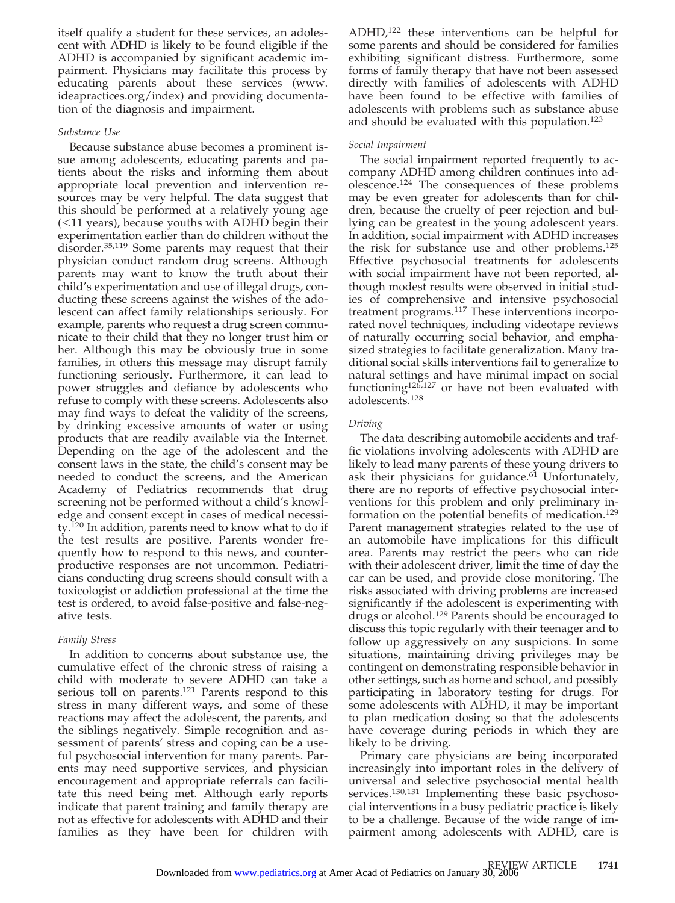itself qualify a student for these services, an adolescent with ADHD is likely to be found eligible if the ADHD is accompanied by significant academic impairment. Physicians may facilitate this process by educating parents about these services (www. ideapractices.org/index) and providing documentation of the diagnosis and impairment.

#### *Substance Use*

Because substance abuse becomes a prominent issue among adolescents, educating parents and patients about the risks and informing them about appropriate local prevention and intervention resources may be very helpful. The data suggest that this should be performed at a relatively young age (<11 years), because youths with ADHD begin their experimentation earlier than do children without the disorder.35,119 Some parents may request that their physician conduct random drug screens. Although parents may want to know the truth about their child's experimentation and use of illegal drugs, conducting these screens against the wishes of the adolescent can affect family relationships seriously. For example, parents who request a drug screen communicate to their child that they no longer trust him or her. Although this may be obviously true in some families, in others this message may disrupt family functioning seriously. Furthermore, it can lead to power struggles and defiance by adolescents who refuse to comply with these screens. Adolescents also may find ways to defeat the validity of the screens, by drinking excessive amounts of water or using products that are readily available via the Internet. Depending on the age of the adolescent and the consent laws in the state, the child's consent may be needed to conduct the screens, and the American Academy of Pediatrics recommends that drug screening not be performed without a child's knowledge and consent except in cases of medical necessity.<sup>120</sup> In addition, parents need to know what to do if the test results are positive. Parents wonder frequently how to respond to this news, and counterproductive responses are not uncommon. Pediatricians conducting drug screens should consult with a toxicologist or addiction professional at the time the test is ordered, to avoid false-positive and false-negative tests.

### *Family Stress*

In addition to concerns about substance use, the cumulative effect of the chronic stress of raising a child with moderate to severe ADHD can take a serious toll on parents.121 Parents respond to this stress in many different ways, and some of these reactions may affect the adolescent, the parents, and the siblings negatively. Simple recognition and assessment of parents' stress and coping can be a useful psychosocial intervention for many parents. Parents may need supportive services, and physician encouragement and appropriate referrals can facilitate this need being met. Although early reports indicate that parent training and family therapy are not as effective for adolescents with ADHD and their families as they have been for children with

ADHD,<sup>122</sup> these interventions can be helpful for some parents and should be considered for families exhibiting significant distress. Furthermore, some forms of family therapy that have not been assessed directly with families of adolescents with ADHD have been found to be effective with families of adolescents with problems such as substance abuse and should be evaluated with this population.<sup>123</sup>

#### *Social Impairment*

The social impairment reported frequently to accompany ADHD among children continues into adolescence.124 The consequences of these problems may be even greater for adolescents than for children, because the cruelty of peer rejection and bullying can be greatest in the young adolescent years. In addition, social impairment with ADHD increases the risk for substance use and other problems.125 Effective psychosocial treatments for adolescents with social impairment have not been reported, although modest results were observed in initial studies of comprehensive and intensive psychosocial treatment programs.117 These interventions incorporated novel techniques, including videotape reviews of naturally occurring social behavior, and emphasized strategies to facilitate generalization. Many traditional social skills interventions fail to generalize to natural settings and have minimal impact on social functioning<sup>126,127</sup> or have not been evaluated with adolescents.128

#### *Driving*

The data describing automobile accidents and traffic violations involving adolescents with ADHD are likely to lead many parents of these young drivers to ask their physicians for guidance.<sup>61</sup> Unfortunately, there are no reports of effective psychosocial interventions for this problem and only preliminary information on the potential benefits of medication.129 Parent management strategies related to the use of an automobile have implications for this difficult area. Parents may restrict the peers who can ride with their adolescent driver, limit the time of day the car can be used, and provide close monitoring. The risks associated with driving problems are increased significantly if the adolescent is experimenting with drugs or alcohol.129 Parents should be encouraged to discuss this topic regularly with their teenager and to follow up aggressively on any suspicions. In some situations, maintaining driving privileges may be contingent on demonstrating responsible behavior in other settings, such as home and school, and possibly participating in laboratory testing for drugs. For some adolescents with ADHD, it may be important to plan medication dosing so that the adolescents have coverage during periods in which they are likely to be driving.

Primary care physicians are being incorporated increasingly into important roles in the delivery of universal and selective psychosocial mental health services.<sup>130,131</sup> Implementing these basic psychosocial interventions in a busy pediatric practice is likely to be a challenge. Because of the wide range of impairment among adolescents with ADHD, care is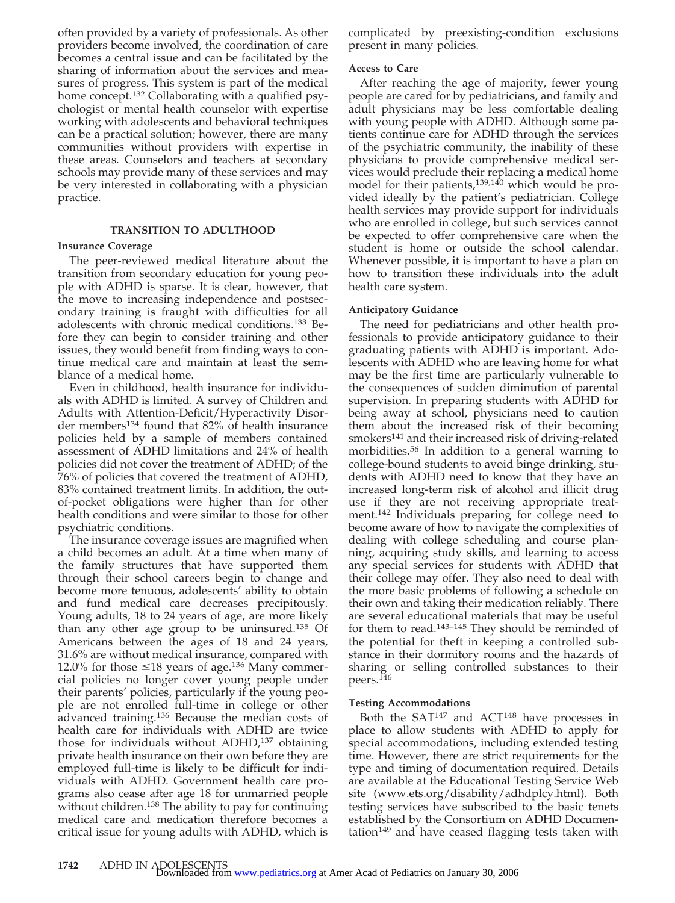often provided by a variety of professionals. As other providers become involved, the coordination of care becomes a central issue and can be facilitated by the sharing of information about the services and measures of progress. This system is part of the medical home concept.<sup>132</sup> Collaborating with a qualified psychologist or mental health counselor with expertise working with adolescents and behavioral techniques can be a practical solution; however, there are many communities without providers with expertise in these areas. Counselors and teachers at secondary schools may provide many of these services and may be very interested in collaborating with a physician practice.

#### **TRANSITION TO ADULTHOOD**

#### **Insurance Coverage**

The peer-reviewed medical literature about the transition from secondary education for young people with ADHD is sparse. It is clear, however, that the move to increasing independence and postsecondary training is fraught with difficulties for all adolescents with chronic medical conditions.133 Before they can begin to consider training and other issues, they would benefit from finding ways to continue medical care and maintain at least the semblance of a medical home.

Even in childhood, health insurance for individuals with ADHD is limited. A survey of Children and Adults with Attention-Deficit/Hyperactivity Disorder members<sup>134</sup> found that 82% of health insurance policies held by a sample of members contained assessment of ADHD limitations and 24% of health policies did not cover the treatment of ADHD; of the 76% of policies that covered the treatment of ADHD, 83% contained treatment limits. In addition, the outof-pocket obligations were higher than for other health conditions and were similar to those for other psychiatric conditions.

The insurance coverage issues are magnified when a child becomes an adult. At a time when many of the family structures that have supported them through their school careers begin to change and become more tenuous, adolescents' ability to obtain and fund medical care decreases precipitously. Young adults, 18 to 24 years of age, are more likely than any other age group to be uninsured.<sup>135</sup> Of Americans between the ages of 18 and 24 years, 31.6% are without medical insurance, compared with 12.0% for those  $\leq$ 18 years of age.<sup>136</sup> Many commercial policies no longer cover young people under their parents' policies, particularly if the young people are not enrolled full-time in college or other advanced training.136 Because the median costs of health care for individuals with ADHD are twice those for individuals without  $ADHD<sub>137</sub>$  obtaining private health insurance on their own before they are employed full-time is likely to be difficult for individuals with ADHD. Government health care programs also cease after age 18 for unmarried people without children.<sup>138</sup> The ability to pay for continuing medical care and medication therefore becomes a critical issue for young adults with ADHD, which is

complicated by preexisting-condition exclusions present in many policies.

#### **Access to Care**

After reaching the age of majority, fewer young people are cared for by pediatricians, and family and adult physicians may be less comfortable dealing with young people with ADHD. Although some patients continue care for ADHD through the services of the psychiatric community, the inability of these physicians to provide comprehensive medical services would preclude their replacing a medical home model for their patients,<sup>139,140</sup> which would be provided ideally by the patient's pediatrician. College health services may provide support for individuals who are enrolled in college, but such services cannot be expected to offer comprehensive care when the student is home or outside the school calendar. Whenever possible, it is important to have a plan on how to transition these individuals into the adult health care system.

### **Anticipatory Guidance**

The need for pediatricians and other health professionals to provide anticipatory guidance to their graduating patients with ADHD is important. Adolescents with ADHD who are leaving home for what may be the first time are particularly vulnerable to the consequences of sudden diminution of parental supervision. In preparing students with ADHD for being away at school, physicians need to caution them about the increased risk of their becoming smokers<sup>141</sup> and their increased risk of driving-related morbidities.56 In addition to a general warning to college-bound students to avoid binge drinking, students with ADHD need to know that they have an increased long-term risk of alcohol and illicit drug use if they are not receiving appropriate treatment.142 Individuals preparing for college need to become aware of how to navigate the complexities of dealing with college scheduling and course planning, acquiring study skills, and learning to access any special services for students with ADHD that their college may offer. They also need to deal with the more basic problems of following a schedule on their own and taking their medication reliably. There are several educational materials that may be useful for them to read.143–145 They should be reminded of the potential for theft in keeping a controlled substance in their dormitory rooms and the hazards of sharing or selling controlled substances to their peers.<sup>146</sup>

### **Testing Accommodations**

Both the SAT<sup>147</sup> and ACT<sup>148</sup> have processes in place to allow students with ADHD to apply for special accommodations, including extended testing time. However, there are strict requirements for the type and timing of documentation required. Details are available at the Educational Testing Service Web site (www.ets.org/disability/adhdplcy.html). Both testing services have subscribed to the basic tenets established by the Consortium on ADHD Documen $tation<sup>149</sup>$  and have ceased flagging tests taken with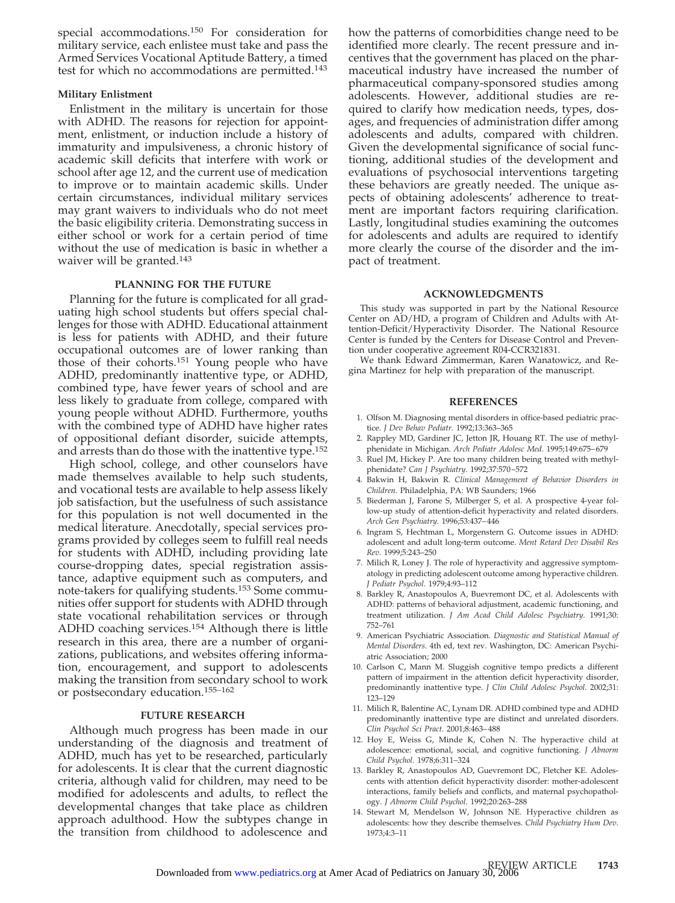special accommodations.150 For consideration for military service, each enlistee must take and pass the Armed Services Vocational Aptitude Battery, a timed test for which no accommodations are permitted.<sup>143</sup>

#### **Military Enlistment**

Enlistment in the military is uncertain for those with ADHD. The reasons for rejection for appointment, enlistment, or induction include a history of immaturity and impulsiveness, a chronic history of academic skill deficits that interfere with work or school after age 12, and the current use of medication to improve or to maintain academic skills. Under certain circumstances, individual military services may grant waivers to individuals who do not meet the basic eligibility criteria. Demonstrating success in either school or work for a certain period of time without the use of medication is basic in whether a waiver will be granted.<sup>143</sup>

#### **PLANNING FOR THE FUTURE**

Planning for the future is complicated for all graduating high school students but offers special challenges for those with ADHD. Educational attainment is less for patients with ADHD, and their future occupational outcomes are of lower ranking than those of their cohorts.<sup>151</sup> Young people who have ADHD, predominantly inattentive type, or ADHD, combined type, have fewer years of school and are less likely to graduate from college, compared with young people without ADHD. Furthermore, youths with the combined type of ADHD have higher rates of oppositional defiant disorder, suicide attempts, and arrests than do those with the inattentive type.152

High school, college, and other counselors have made themselves available to help such students, and vocational tests are available to help assess likely job satisfaction, but the usefulness of such assistance for this population is not well documented in the medical literature. Anecdotally, special services programs provided by colleges seem to fulfill real needs for students with ADHD, including providing late course-dropping dates, special registration assistance, adaptive equipment such as computers, and note-takers for qualifying students.<sup>153</sup> Some communities offer support for students with ADHD through state vocational rehabilitation services or through ADHD coaching services.154 Although there is little research in this area, there are a number of organizations, publications, and websites offering information, encouragement, and support to adolescents making the transition from secondary school to work or postsecondary education.155–162

#### **FUTURE RESEARCH**

Although much progress has been made in our understanding of the diagnosis and treatment of ADHD, much has yet to be researched, particularly for adolescents. It is clear that the current diagnostic criteria, although valid for children, may need to be modified for adolescents and adults, to reflect the developmental changes that take place as children approach adulthood. How the subtypes change in the transition from childhood to adolescence and

how the patterns of comorbidities change need to be identified more clearly. The recent pressure and incentives that the government has placed on the pharmaceutical industry have increased the number of pharmaceutical company-sponsored studies among adolescents. However, additional studies are required to clarify how medication needs, types, dosages, and frequencies of administration differ among adolescents and adults, compared with children. Given the developmental significance of social functioning, additional studies of the development and evaluations of psychosocial interventions targeting these behaviors are greatly needed. The unique aspects of obtaining adolescents' adherence to treatment are important factors requiring clarification. Lastly, longitudinal studies examining the outcomes for adolescents and adults are required to identify more clearly the course of the disorder and the impact of treatment.

#### **ACKNOWLEDGMENTS**

This study was supported in part by the National Resource Center on AD/HD, a program of Children and Adults with Attention-Deficit/Hyperactivity Disorder. The National Resource Center is funded by the Centers for Disease Control and Prevention under cooperative agreement R04-CCR321831.

We thank Edward Zimmerman, Karen Wanatowicz, and Regina Martinez for help with preparation of the manuscript.

#### **REFERENCES**

- 1. Olfson M. Diagnosing mental disorders in office-based pediatric practice. *J Dev Behav Pediatr.* 1992;13:363–365
- 2. Rappley MD, Gardiner JC, Jetton JR, Houang RT. The use of methylphenidate in Michigan. *Arch Pediatr Adolesc Med.* 1995;149:675– 679
- 3. Ruel JM, Hickey P. Are too many children being treated with methylphenidate? *Can J Psychiatry.* 1992;37:570 –572
- 4. Bakwin H, Bakwin R. *Clinical Management of Behavior Disorders in Children*. Philadelphia, PA: WB Saunders; 1966
- 5. Biederman J, Farone S, Milberger S, et al. A prospective 4-year follow-up study of attention-deficit hyperactivity and related disorders. *Arch Gen Psychiatry.* 1996;53:437– 446
- 6. Ingram S, Hechtman L, Morgenstern G. Outcome issues in ADHD: adolescent and adult long-term outcome. *Ment Retard Dev Disabil Res Rev.* 1999;5:243–250
- 7. Milich R, Loney J. The role of hyperactivity and aggressive symptomatology in predicting adolescent outcome among hyperactive children. *J Pediatr Psychol.* 1979;4:93–112
- 8. Barkley R, Anastopoulos A, Buevremont DC, et al. Adolescents with ADHD: patterns of behavioral adjustment, academic functioning, and treatment utilization. *J Am Acad Child Adolesc Psychiatry.* 1991;30: 752–761
- 9. American Psychiatric Association. *Diagnostic and Statistical Manual of Mental Disorders*. 4th ed, text rev. Washington, DC: American Psychiatric Association; 2000
- 10. Carlson C, Mann M. Sluggish cognitive tempo predicts a different pattern of impairment in the attention deficit hyperactivity disorder, predominantly inattentive type. *J Clin Child Adolesc Psychol.* 2002;31: 123–129
- 11. Milich R, Balentine AC, Lynam DR. ADHD combined type and ADHD predominantly inattentive type are distinct and unrelated disorders. *Clin Psychol Sci Pract.* 2001;8:463– 488
- 12. Hoy E, Weiss G, Minde K, Cohen N. The hyperactive child at adolescence: emotional, social, and cognitive functioning. *J Abnorm Child Psychol.* 1978;6:311–324
- 13. Barkley R, Anastopoulos AD, Guevremont DC, Fletcher KE. Adolescents with attention deficit hyperactivity disorder: mother-adolescent interactions, family beliefs and conflicts, and maternal psychopathology. *J Abnorm Child Psychol.* 1992;20:263–288
- 14. Stewart M, Mendelson W, Johnson NE. Hyperactive children as adolescents: how they describe themselves. *Child Psychiatry Hum Dev.* 1973;4:3–11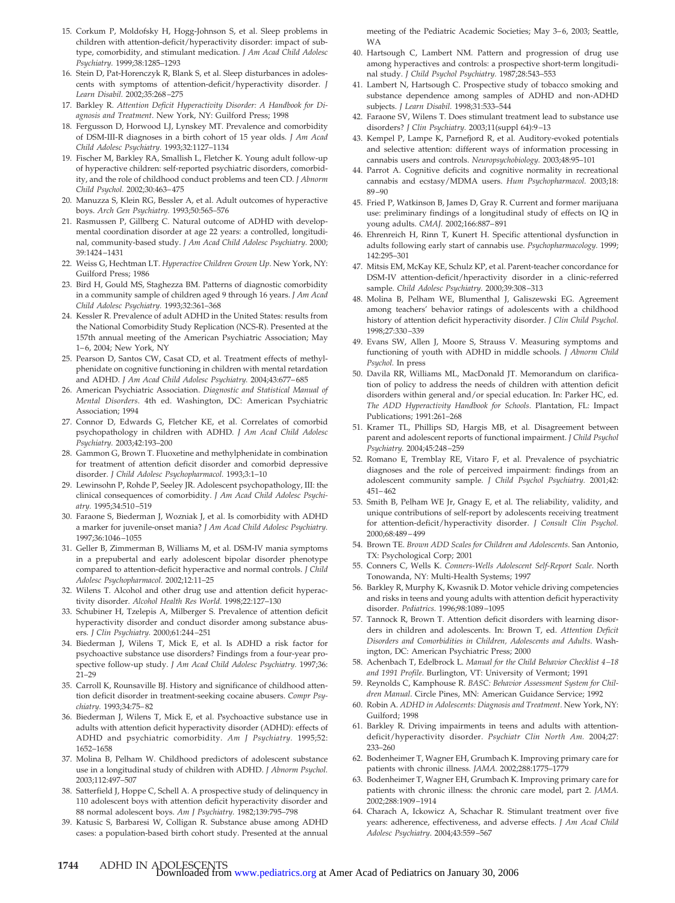- 15. Corkum P, Moldofsky H, Hogg-Johnson S, et al. Sleep problems in children with attention-deficit/hyperactivity disorder: impact of subtype, comorbidity, and stimulant medication. *J Am Acad Child Adolesc Psychiatry.* 1999;38:1285–1293
- 16. Stein D, Pat-Horenczyk R, Blank S, et al. Sleep disturbances in adolescents with symptoms of attention-deficit/hyperactivity disorder. *J Learn Disabil.* 2002;35:268 –275
- 17. Barkley R. *Attention Deficit Hyperactivity Disorder: A Handbook for Diagnosis and Treatment*. New York, NY: Guilford Press; 1998
- 18. Fergusson D, Horwood LJ, Lynskey MT. Prevalence and comorbidity of DSM-III-R diagnoses in a birth cohort of 15 year olds. *J Am Acad Child Adolesc Psychiatry.* 1993;32:1127–1134
- 19. Fischer M, Barkley RA, Smallish L, Fletcher K. Young adult follow-up of hyperactive children: self-reported psychiatric disorders, comorbidity, and the role of childhood conduct problems and teen CD. *J Abnorm Child Psychol.* 2002;30:463– 475
- 20. Manuzza S, Klein RG, Bessler A, et al. Adult outcomes of hyperactive boys. *Arch Gen Psychiatry.* 1993;50:565–576
- 21. Rasmussen P, Gillberg C. Natural outcome of ADHD with developmental coordination disorder at age 22 years: a controlled, longitudinal, community-based study. *J Am Acad Child Adolesc Psychiatry.* 2000; 39:1424 –1431
- 22. Weiss G, Hechtman LT. *Hyperactive Children Grown Up*. New York, NY: Guilford Press; 1986
- 23. Bird H, Gould MS, Staghezza BM. Patterns of diagnostic comorbidity in a community sample of children aged 9 through 16 years. *J Am Acad Child Adolesc Psychiatry.* 1993;32:361–368
- 24. Kessler R. Prevalence of adult ADHD in the United States: results from the National Comorbidity Study Replication (NCS-R). Presented at the 157th annual meeting of the American Psychiatric Association; May 1– 6, 2004; New York, NY
- 25. Pearson D, Santos CW, Casat CD, et al. Treatment effects of methylphenidate on cognitive functioning in children with mental retardation and ADHD. *J Am Acad Child Adolesc Psychiatry.* 2004;43:677– 685
- 26. American Psychiatric Association. *Diagnostic and Statistical Manual of Mental Disorders*. 4th ed. Washington, DC: American Psychiatric Association; 1994
- 27. Connor D, Edwards G, Fletcher KE, et al. Correlates of comorbid psychopathology in children with ADHD. *J Am Acad Child Adolesc Psychiatry.* 2003;42:193–200
- 28. Gammon G, Brown T. Fluoxetine and methylphenidate in combination for treatment of attention deficit disorder and comorbid depressive disorder. *J Child Adolesc Psychopharmacol.* 1993;3:1–10
- 29. Lewinsohn P, Rohde P, Seeley JR. Adolescent psychopathology, III: the clinical consequences of comorbidity. *J Am Acad Child Adolesc Psychiatry.* 1995;34:510 –519
- 30. Faraone S, Biederman J, Wozniak J, et al. Is comorbidity with ADHD a marker for juvenile-onset mania? *J Am Acad Child Adolesc Psychiatry.* 1997;36:1046 –1055
- 31. Geller B, Zimmerman B, Williams M, et al. DSM-IV mania symptoms in a prepubertal and early adolescent bipolar disorder phenotype compared to attention-deficit hyperactive and normal controls. *J Child Adolesc Psychopharmacol.* 2002;12:11–25
- 32. Wilens T. Alcohol and other drug use and attention deficit hyperactivity disorder. *Alcohol Health Res World.* 1998;22:127–130
- 33. Schubiner H, Tzelepis A, Milberger S. Prevalence of attention deficit hyperactivity disorder and conduct disorder among substance abusers. *J Clin Psychiatry.* 2000;61:244 –251
- 34. Biederman J, Wilens T, Mick E, et al. Is ADHD a risk factor for psychoactive substance use disorders? Findings from a four-year prospective follow-up study. *J Am Acad Child Adolesc Psychiatry.* 1997;36: 21–29
- 35. Carroll K, Rounsaville BJ. History and significance of childhood attention deficit disorder in treatment-seeking cocaine abusers. *Compr Psychiatry.* 1993;34:75– 82
- 36. Biederman J, Wilens T, Mick E, et al. Psychoactive substance use in adults with attention deficit hyperactivity disorder (ADHD): effects of ADHD and psychiatric comorbidity. *Am J Psychiatry.* 1995;52: 1652–1658
- 37. Molina B, Pelham W. Childhood predictors of adolescent substance use in a longitudinal study of children with ADHD. *J Abnorm Psychol.* 2003;112:497–507
- 38. Satterfield J, Hoppe C, Schell A. A prospective study of delinquency in 110 adolescent boys with attention deficit hyperactivity disorder and 88 normal adolescent boys. *Am J Psychiatry.* 1982;139:795–798
- 39. Katusic S, Barbaresi W, Colligan R. Substance abuse among ADHD cases: a population-based birth cohort study. Presented at the annual

meeting of the Pediatric Academic Societies; May 3-6, 2003; Seattle, WA

- 40. Hartsough C, Lambert NM. Pattern and progression of drug use among hyperactives and controls: a prospective short-term longitudinal study. *J Child Psychol Psychiatry.* 1987;28:543–553
- 41. Lambert N, Hartsough C. Prospective study of tobacco smoking and substance dependence among samples of ADHD and non-ADHD subjects. *J Learn Disabil.* 1998;31:533–544
- 42. Faraone SV, Wilens T. Does stimulant treatment lead to substance use disorders? *J Clin Psychiatry.* 2003;11(suppl 64):9 –13
- 43. Kempel P, Lampe K, Parnefjord R, et al. Auditory-evoked potentials and selective attention: different ways of information processing in cannabis users and controls. *Neuropsychobiology.* 2003;48:95–101
- 44. Parrot A. Cognitive deficits and cognitive normality in recreational cannabis and ecstasy/MDMA users. *Hum Psychopharmacol.* 2003;18: 89 –90
- 45. Fried P, Watkinson B, James D, Gray R. Current and former marijuana use: preliminary findings of a longitudinal study of effects on IQ in young adults. *CMAJ.* 2002;166:887– 891
- 46. Ehrenreich H, Rinn T, Kunert H. Specific attentional dysfunction in adults following early start of cannabis use. *Psychopharmacology.* 1999; 142:295–301
- 47. Mitsis EM, McKay KE, Schulz KP, et al. Parent-teacher concordance for DSM-IV attention-deficit/hperactivity disorder in a clinic-referred sample. *Child Adolesc Psychiatry.* 2000;39:308 –313
- 48. Molina B, Pelham WE, Blumenthal J, Galiszewski EG. Agreement among teachers' behavior ratings of adolescents with a childhood history of attention deficit hyperactivity disorder. *J Clin Child Psychol.* 1998;27:330 –339
- 49. Evans SW, Allen J, Moore S, Strauss V. Measuring symptoms and functioning of youth with ADHD in middle schools. *J Abnorm Child Psychol.* In press
- 50. Davila RR, Williams ML, MacDonald JT. Memorandum on clarification of policy to address the needs of children with attention deficit disorders within general and/or special education. In: Parker HC, ed. *The ADD Hyperactivity Handbook for Schools*. Plantation, FL: Impact Publications; 1991:261–268
- 51. Kramer TL, Phillips SD, Hargis MB, et al. Disagreement between parent and adolescent reports of functional impairment. *J Child Psychol Psychiatry.* 2004;45:248 –259
- 52. Romano E, Tremblay RE, Vitaro F, et al. Prevalence of psychiatric diagnoses and the role of perceived impairment: findings from an adolescent community sample. *J Child Psychol Psychiatry.* 2001;42: 451– 462
- 53. Smith B, Pelham WE Jr, Gnagy E, et al. The reliability, validity, and unique contributions of self-report by adolescents receiving treatment for attention-deficit/hyperactivity disorder. *J Consult Clin Psychol.* 2000;68:489 – 499
- 54. Brown TE. *Brown ADD Scales for Children and Adolescents*. San Antonio, TX: Psychological Corp; 2001
- 55. Conners C, Wells K. *Conners-Wells Adolescent Self-Report Scale*. North Tonowanda, NY: Multi-Health Systems; 1997
- 56. Barkley R, Murphy K, Kwasnik D. Motor vehicle driving competencies and risks in teens and young adults with attention deficit hyperactivity disorder. *Pediatrics.* 1996;98:1089 –1095
- 57. Tannock R, Brown T. Attention deficit disorders with learning disorders in children and adolescents. In: Brown T, ed. *Attention Deficit Disorders and Comorbidities in Children, Adolescents and Adults*. Washington, DC: American Psychiatric Press; 2000
- 58. Achenbach T, Edelbrock L. *Manual for the Child Behavior Checklist 4 –18 and 1991 Profile*. Burlington, VT: University of Vermont; 1991
- 59. Reynolds C, Kamphouse R. *BASC: Behavior Assessment System for Children Manual*. Circle Pines, MN: American Guidance Service; 1992
- 60. Robin A. *ADHD in Adolescents: Diagnosis and Treatment*. New York, NY: Guilford; 1998
- 61. Barkley R. Driving impairments in teens and adults with attentiondeficit/hyperactivity disorder. *Psychiatr Clin North Am.* 2004;27: 233–260
- 62. Bodenheimer T, Wagner EH, Grumbach K. Improving primary care for patients with chronic illness. *JAMA.* 2002;288:1775–1779
- 63. Bodenheimer T, Wagner EH, Grumbach K. Improving primary care for patients with chronic illness: the chronic care model, part 2. *JAMA*. 2002;288:1909 –1914
- 64. Charach A, Ickowicz A, Schachar R. Stimulant treatment over five years: adherence, effectiveness, and adverse effects. *J Am Acad Child Adolesc Psychiatry*. 2004;43:559 –567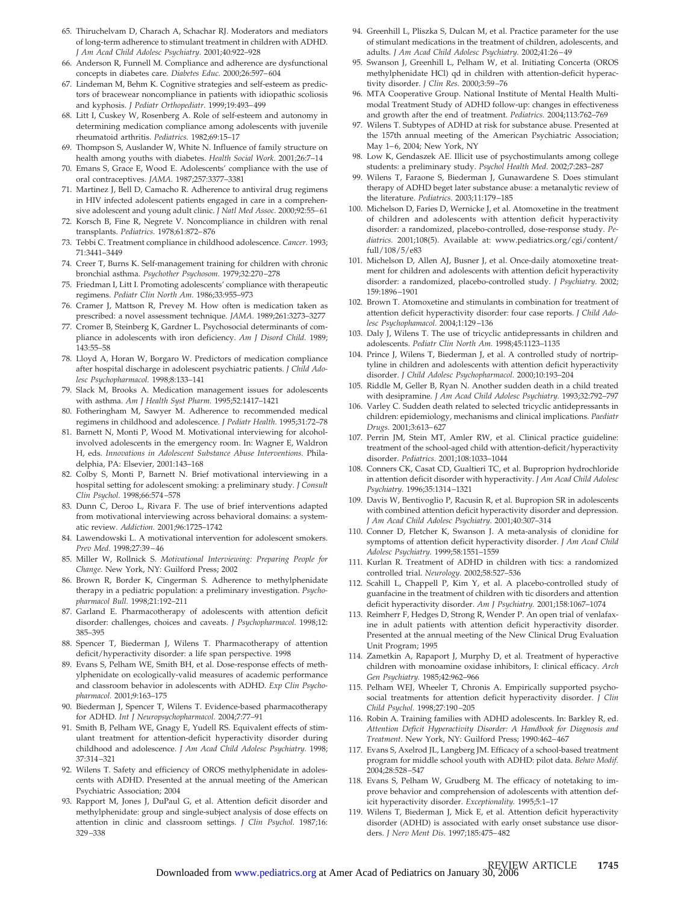- 65. Thiruchelvam D, Charach A, Schachar RJ. Moderators and mediators of long-term adherence to stimulant treatment in children with ADHD. *J Am Acad Child Adolesc Psychiatry.* 2001;40:922–928
- 66. Anderson R, Funnell M. Compliance and adherence are dysfunctional concepts in diabetes care. *Diabetes Educ.* 2000;26:597– 604
- 67. Lindeman M, Behm K. Cognitive strategies and self-esteem as predictors of bracewear noncompliance in patients with idiopathic scoliosis and kyphosis. *J Pediatr Orthopediatr.* 1999;19:493– 499
- 68. Litt I, Cuskey W, Rosenberg A. Role of self-esteem and autonomy in determining medication compliance among adolescents with juvenile rheumatoid arthritis. *Pediatrics.* 1982;69:15–17
- 69. Thompson S, Auslander W, White N. Influence of family structure on health among youths with diabetes. *Health Social Work.* 2001;26:7–14
- 70. Emans S, Grace E, Wood E. Adolescents' compliance with the use of oral contraceptives. *JAMA.* 1987;257:3377–3381
- 71. Martinez J, Bell D, Camacho R. Adherence to antiviral drug regimens in HIV infected adolescent patients engaged in care in a comprehensive adolescent and young adult clinic. *J Natl Med Assoc.* 2000;92:55– 61
- 72. Korsch B, Fine R, Negrete V. Noncompliance in children with renal transplants. *Pediatrics.* 1978;61:872– 876
- 73. Tebbi C. Treatment compliance in childhood adolescence. *Cancer.* 1993; 71:3441–3449
- 74. Creer T, Burns K. Self-management training for children with chronic bronchial asthma. *Psychother Psychosom.* 1979;32:270 –278
- 75. Friedman I, Litt I. Promoting adolescents' compliance with therapeutic regimens. *Pediatr Clin North Am.* 1986;33:955–973
- 76. Cramer J, Mattson R, Prevey M. How often is medication taken as prescribed: a novel assessment technique. *JAMA.* 1989;261:3273–3277
- 77. Cromer B, Steinberg K, Gardner L. Psychosocial determinants of compliance in adolescents with iron deficiency. *Am J Disord Child.* 1989; 143:55–58
- 78. Lloyd A, Horan W, Borgaro W. Predictors of medication compliance after hospital discharge in adolescent psychiatric patients. *J Child Adolesc Psychopharmacol.* 1998;8:133–141
- 79. Slack M, Brooks A. Medication management issues for adolescents with asthma. *Am J Health Syst Pharm.* 1995;52:1417–1421
- 80. Fotheringham M, Sawyer M. Adherence to recommended medical regimens in childhood and adolescence. *J Pediatr Health.* 1995;31:72–78
- 81. Barnett N, Monti P, Wood M. Motivational interviewing for alcoholinvolved adolescents in the emergency room. In: Wagner E, Waldron H, eds. *Innovations in Adolescent Substance Abuse Interventions.* Philadelphia, PA: Elsevier, 2001:143–168
- 82. Colby S, Monti P, Barnett N. Brief motivational interviewing in a hospital setting for adolescent smoking: a preliminary study. *J Consult Clin Psychol.* 1998;66:574 –578
- 83. Dunn C, Deroo L, Rivara F. The use of brief interventions adapted from motivational interviewing across behavioral domains: a systematic review. *Addiction.* 2001;96:1725–1742
- 84. Lawendowski L. A motivational intervention for adolescent smokers. *Prev Med.* 1998;27:39 – 46
- 85. Miller W, Rollnick S. *Motivational Interviewing: Preparing People for Change*. New York, NY: Guilford Press; 2002
- 86. Brown R, Border K, Cingerman S. Adherence to methylphenidate therapy in a pediatric population: a preliminary investigation. *Psychopharmacol Bull.* 1998;21:192–211
- 87. Garland E. Pharmacotherapy of adolescents with attention deficit disorder: challenges, choices and caveats. *J Psychopharmacol.* 1998;12: 385–395
- 88. Spencer T, Biederman J, Wilens T. Pharmacotherapy of attention deficit/hyperactivity disorder: a life span perspective. 1998
- 89. Evans S, Pelham WE, Smith BH, et al. Dose-response effects of methylphenidate on ecologically-valid measures of academic performance and classroom behavior in adolescents with ADHD. *Exp Clin Psychopharmacol.* 2001;9:163–175
- 90. Biederman J, Spencer T, Wilens T. Evidence-based pharmacotherapy for ADHD. *Int J Neuropsychopharmacol.* 2004;7:77–91
- 91. Smith B, Pelham WE, Gnagy E, Yudell RS. Equivalent effects of stimulant treatment for attention-deficit hyperactivity disorder during childhood and adolescence. *J Am Acad Child Adolesc Psychiatry.* 1998; 37:314 –321
- 92. Wilens T. Safety and efficiency of OROS methylphenidate in adolescents with ADHD. Presented at the annual meeting of the American Psychiatric Association; 2004
- 93. Rapport M, Jones J, DuPaul G, et al. Attention deficit disorder and methylphenidate: group and single-subject analysis of dose effects on attention in clinic and classroom settings. *J Clin Psychol.* 1987;16: 329 –338
- 94. Greenhill L, Pliszka S, Dulcan M, et al. Practice parameter for the use of stimulant medications in the treatment of children, adolescents, and adults. *J Am Acad Child Adolesc Psychiatry.* 2002;41:26 – 49
- 95. Swanson J, Greenhill L, Pelham W, et al. Initiating Concerta (OROS methylphenidate HCl) qd in children with attention-deficit hyperactivity disorder. *J Clin Res.* 2000;3:59 –76
- 96. MTA Cooperative Group. National Institute of Mental Health Multimodal Treatment Study of ADHD follow-up: changes in effectiveness and growth after the end of treatment. *Pediatrics.* 2004;113:762–769
- 97. Wilens T. Subtypes of ADHD at risk for substance abuse. Presented at the 157th annual meeting of the American Psychiatric Association; May 1-6, 2004; New York, NY
- 98. Low K, Gendaszek AE. Illicit use of psychostimulants among college students: a preliminary study. *Psychol Health Med.* 2002;7:283–287
- 99. Wilens T, Faraone S, Biederman J, Gunawardene S. Does stimulant therapy of ADHD beget later substance abuse: a metanalytic review of the literature. *Pediatrics.* 2003;11:179 –185
- 100. Michelson D, Faries D, Wernicke J, et al. Atomoxetine in the treatment of children and adolescents with attention deficit hyperactivity disorder: a randomized, placebo-controlled, dose-response study. *Pediatrics.* 2001;108(5). Available at: www.pediatrics.org/cgi/content/ full/108/5/e83
- 101. Michelson D, Allen AJ, Busner J, et al. Once-daily atomoxetine treatment for children and adolescents with attention deficit hyperactivity disorder: a randomized, placebo-controlled study. *J Psychiatry.* 2002; 159:1896 –1901
- 102. Brown T. Atomoxetine and stimulants in combination for treatment of attention deficit hyperactivity disorder: four case reports. *J Child Adolesc Psychophamacol.* 2004;1:129 –136
- 103. Daly J, Wilens T. The use of tricyclic antidepressants in children and adolescents. *Pediatr Clin North Am.* 1998;45:1123–1135
- 104. Prince J, Wilens T, Biederman J, et al. A controlled study of nortriptyline in children and adolescents with attention deficit hyperactivity disorder. *J Child Adolesc Psychopharmacol.* 2000;10:193–204
- 105. Riddle M, Geller B, Ryan N. Another sudden death in a child treated with desipramine. *J Am Acad Child Adolesc Psychiatry.* 1993;32:792–797
- 106. Varley C. Sudden death related to selected tricyclic antidepressants in children: epidemiology, mechanisms and clinical implications. *Paediatr Drugs.* 2001;3:613– 627
- 107. Perrin JM, Stein MT, Amler RW, et al. Clinical practice guideline: treatment of the school-aged child with attention-deficit/hyperactivity disorder. *Pediatrics.* 2001;108:1033–1044
- 108. Conners CK, Casat CD, Gualtieri TC, et al. Buproprion hydrochloride in attention deficit disorder with hyperactivity. *J Am Acad Child Adolesc Psychiatry.* 1996;35:1314 –1321
- 109. Davis W, Bentivoglio P, Racusin R, et al. Bupropion SR in adolescents with combined attention deficit hyperactivity disorder and depression. *J Am Acad Child Adolesc Psychiatry.* 2001;40:307–314
- 110. Conner D, Fletcher K, Swanson J. A meta-analysis of clonidine for symptoms of attention deficit hyperactivity disorder. *J Am Acad Child Adolesc Psychiatry.* 1999;58:1551–1559
- 111. Kurlan R. Treatment of ADHD in children with tics: a randomized controlled trial. *Neurology.* 2002;58:527–536
- 112. Scahill L, Chappell P, Kim Y, et al. A placebo-controlled study of guanfacine in the treatment of children with tic disorders and attention deficit hyperactivity disorder. *Am J Psychiatry.* 2001;158:1067–1074
- 113. Reimherr F, Hedges D, Strong R, Wender P. An open trial of venlafaxine in adult patients with attention deficit hyperactivity disorder. Presented at the annual meeting of the New Clinical Drug Evaluation Unit Program; 1995
- 114. Zametkin A, Rapaport J, Murphy D, et al. Treatment of hyperactive children with monoamine oxidase inhibitors, I: clinical efficacy. *Arch Gen Psychiatry.* 1985;42:962–966
- 115. Pelham WEJ, Wheeler T, Chronis A. Empirically supported psychosocial treatments for attention deficit hyperactivity disorder. *J Clin Child Psychol.* 1998;27:190 –205
- 116. Robin A. Training families with ADHD adolescents. In: Barkley R, ed. *Attention Deficit Hyperactivity Disorder: A Handbook for Diagnosis and Treatment*. New York, NY: Guilford Press; 1990:462– 467
- 117. Evans S, Axelrod JL, Langberg JM. Efficacy of a school-based treatment program for middle school youth with ADHD: pilot data. *Behav Modif.* 2004;28:528 –547
- 118. Evans S, Pelham W, Grudberg M. The efficacy of notetaking to improve behavior and comprehension of adolescents with attention deficit hyperactivity disorder. *Exceptionality.* 1995;5:1–17
- 119. Wilens T, Biederman J, Mick E, et al. Attention deficit hyperactivity disorder (ADHD) is associated with early onset substance use disorders. *J Nerv Ment Dis.* 1997;185:475– 482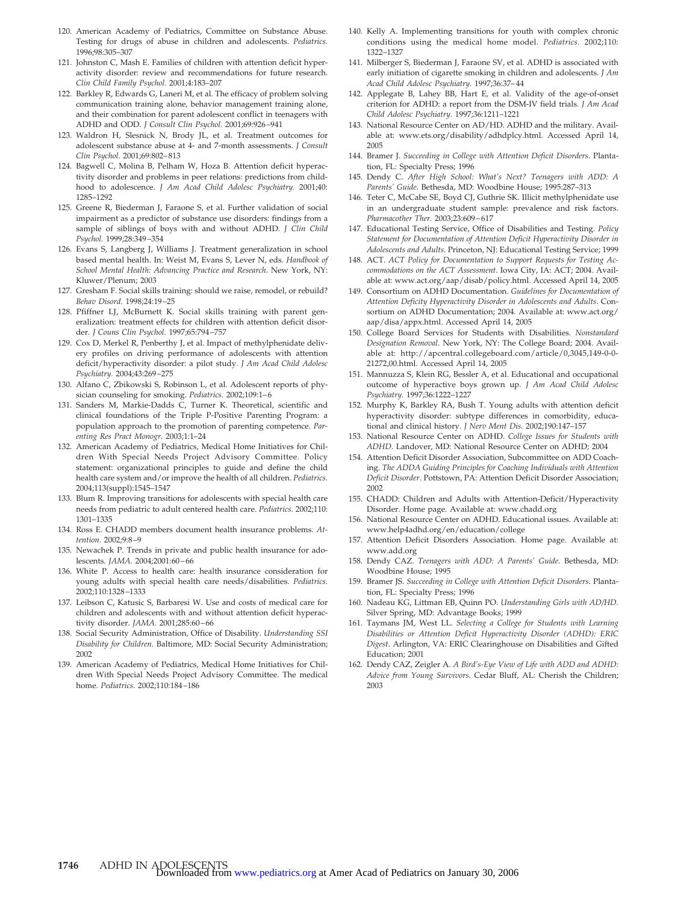- 120. American Academy of Pediatrics, Committee on Substance Abuse. Testing for drugs of abuse in children and adolescents. *Pediatrics.* 1996;98:305–307
- 121. Johnston C, Mash E. Families of children with attention deficit hyperactivity disorder: review and recommendations for future research. *Clin Child Family Psychol.* 2001;4:183–207
- 122. Barkley R, Edwards G, Laneri M, et al. The efficacy of problem solving communication training alone, behavior management training alone, and their combination for parent adolescent conflict in teenagers with ADHD and ODD. *J Consult Clin Psychol.* 2001;69:926 –941
- 123. Waldron H, Slesnick N, Brody JL, et al. Treatment outcomes for adolescent substance abuse at 4- and 7-month assessments. *J Consult Clin Psychol.* 2001;69:802– 813
- 124. Bagwell C, Molina B, Pelham W, Hoza B. Attention deficit hyperactivity disorder and problems in peer relations: predictions from childhood to adolescence. *J Am Acad Child Adolesc Psychiatry.* 2001;40: 1285–1292
- 125. Greene R, Biederman J, Faraone S, et al. Further validation of social impairment as a predictor of substance use disorders: findings from a sample of siblings of boys with and without ADHD. *J Clin Child Psychol.* 1999;28:349 –354
- 126. Evans S, Langberg J, Williams J. Treatment generalization in school based mental health. In: Weist M, Evans S, Lever N, eds. *Handbook of School Mental Health: Advancing Practice and Research*. New York, NY: Kluwer/Plenum; 2003
- 127. Gresham F. Social skills training: should we raise, remodel, or rebuild? *Behav Disord.* 1998;24:19 –25
- 128. Pfiffner LJ, McBurnett K. Social skills training with parent generalization: treatment effects for children with attention deficit disorder. *J Couns Clin Psychol.* 1997;65:794 –757
- 129. Cox D, Merkel R, Penberthy J, et al. Impact of methylphenidate delivery profiles on driving performance of adolescents with attention deficit/hyperactivity disorder: a pilot study. *J Am Acad Child Adolesc Psychiatry.* 2004;43:269 –275
- 130. Alfano C, Zbikowski S, Robinson L, et al. Adolescent reports of physician counseling for smoking. *Pediatrics.* 2002;109:1– 6
- 131. Sanders M, Markie-Dadds C, Turner K. Theoretical, scientific and clinical foundations of the Triple P-Positive Parenting Program: a population approach to the promotion of parenting competence. *Parenting Res Pract Monogr.* 2003;1:1–24
- 132. American Academy of Pediatrics, Medical Home Initiatives for Children With Special Needs Project Advisory Committee. Policy statement: organizational principles to guide and define the child health care system and/or improve the health of all children. *Pediatrics.* 2004;113(suppl):1545–1547
- 133. Blum R. Improving transitions for adolescents with special health care needs from pediatric to adult centered health care. *Pediatrics.* 2002;110: 1301–1335
- 134. Ross E. CHADD members document health insurance problems. *Attention.* 2002;9:8 –9
- 135. Newachek P. Trends in private and public health insurance for adolescents. *JAMA.* 2004;2001:60 – 66
- 136. White P. Access to health care: health insurance consideration for young adults with special health care needs/disabilities. *Pediatrics.* 2002;110:1328 –1333
- 137. Leibson C, Katusic S, Barbaresi W. Use and costs of medical care for children and adolescents with and without attention deficit hyperactivity disorder. *JAMA.* 2001;285:60 – 66
- 138. Social Security Administration, Office of Disability. *Understanding SSI Disability for Children.* Baltimore, MD: Social Security Administration; 2002
- 139. American Academy of Pediatrics, Medical Home Initiatives for Children With Special Needs Project Advisory Committee. The medical home. *Pediatrics.* 2002;110:184 –186
- 140. Kelly A. Implementing transitions for youth with complex chronic conditions using the medical home model. *Pediatrics.* 2002;110: 1322–1327
- 141. Milberger S, Biederman J, Faraone SV, et al. ADHD is associated with early initiation of cigarette smoking in children and adolescents. *J Am Acad Child Adolesc Psychiatry.* 1997;36:37– 44
- 142. Applegate B, Lahey BB, Hart E, et al. Validity of the age-of-onset criterion for ADHD: a report from the DSM-IV field trials. *J Am Acad Child Adolesc Psychiatry.* 1997;36:1211–1221
- 143. National Resource Center on AD/HD. ADHD and the military. Available at: www.ets.org/disability/adhdplcy.html. Accessed April 14, 2005
- 144. Bramer J. *Succeeding in College with Attention Deficit Disorders*. Plantation, FL: Specialty Press; 1996
- 145. Dendy C. *After High School: What's Next? Teenagers with ADD: A Parents' Guide*. Bethesda, MD: Woodbine House; 1995:287–313
- 146. Teter C, McCabe SE, Boyd CJ, Guthrie SK. Illicit methylphenidate use in an undergraduate student sample: prevalence and risk factors. *Pharmacother Ther.* 2003;23:609 – 617
- 147. Educational Testing Service, Office of Disabilities and Testing. *Policy Statement for Documentation of Attention Deficit Hyperactivity Disorder in Adolescents and Adults*. Princeton, NJ: Educational Testing Service; 1999
- 148. ACT. *ACT Policy for Documentation to Support Requests for Testing Accommodations on the ACT Assessment*. Iowa City, IA: ACT; 2004. Available at: www.act.org/aap/disab/policy.html. Accessed April 14, 2005
- 149. Consortium on ADHD Documentation. *Guidelines for Documentation of Attention Deficity Hyperactivity Disorder in Adolescents and Adults*. Consortium on ADHD Documentation; 2004. Available at: www.act.org/ aap/disa/appx.html. Accessed April 14, 2005
- 150. College Board Services for Students with Disabilities. *Nonstandard Designation Removal*. New York, NY: The College Board; 2004. Available at: http://apcentral.collegeboard.com/article/0,3045,149-0-0- 21272,00.html. Accessed April 14, 2005
- 151. Mannuzza S, Klein RG, Bessler A, et al. Educational and occupational outcome of hyperactive boys grown up. *J Am Acad Child Adolesc Psychiatry.* 1997;36:1222–1227
- 152. Murphy K, Barkley RA, Bush T. Young adults with attention deficit hyperactivity disorder: subtype differences in comorbidity, educational and clinical history. *J Nerv Ment Dis.* 2002;190:147–157
- 153. National Resource Center on ADHD. *College Issues for Students with ADHD*. Landover, MD: National Resource Center on ADHD; 2004
- 154. Attention Deficit Disorder Association, Subcommittee on ADD Coaching. *The ADDA Guiding Principles for Coaching Individuals with Attention Deficit Disorder*. Pottstown, PA: Attention Deficit Disorder Association; 2002
- 155. CHADD: Children and Adults with Attention-Deficit/Hyperactivity Disorder. Home page. Available at: www.chadd.org
- 156. National Resource Center on ADHD. Educational issues. Available at: www.help4adhd.org/en/education/college
- 157. Attention Deficit Disorders Association. Home page. Available at: www.add.org
- 158. Dendy CAZ. *Teenagers with ADD: A Parents' Guide*. Bethesda, MD: Woodbine House; 1995
- 159. Bramer JS. *Succeeding in College with Attention Deficit Disorders*. Plantation, FL: Specialty Press; 1996
- 160. Nadeau KG, Littman EB, Quinn PO. *Understanding Girls with AD/HD.* Silver Spring, MD: Advantage Books; 1999
- 161. Taymans JM, West LL. *Selecting a College for Students with Learning Disabilities or Attention Deficit Hyperactivity Disorder (ADHD): ERIC Digest*. Arlington, VA: ERIC Clearinghouse on Disabilities and Gifted Education; 2001
- 162. Dendy CAZ, Zeigler A. *A Bird's-Eye View of Life with ADD and ADHD: Advice from Young Survivors*. Cedar Bluff, AL: Cherish the Children; 2003